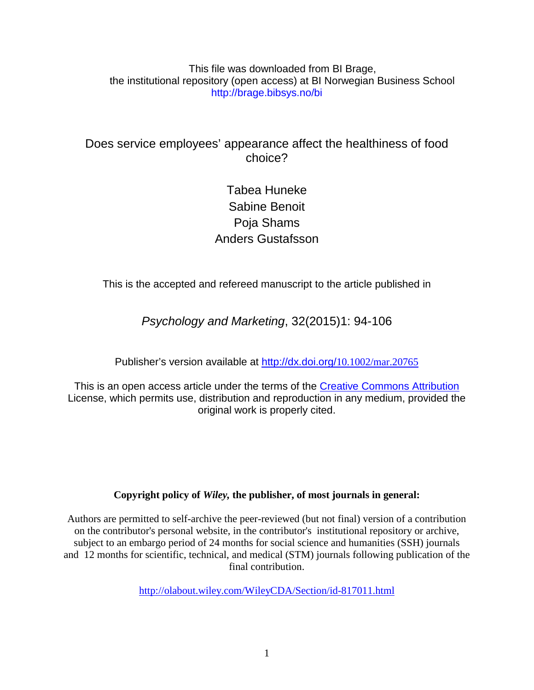This file was downloaded from BI Brage, the institutional repository (open access) at BI Norwegian Business School http://brage.bibsys.no/bi

Does service employees' appearance affect the healthiness of food choice?

> Tabea Huneke Sabine Benoit Poja Shams Anders Gustafsson

This is the accepted and refereed manuscript to the article published in

*Psychology and Marketing*, 32(2015)1: 94-106

Publisher's version available at http://dx.doi.org/[10.1002/mar.20765](http://dx.doi.org/10.1002/mar.20765)

This is an open access article under the terms of the [Creative Commons Attribution](http://creativecommons.org/licenses/by/4.0/) License, which permits use, distribution and reproduction in any medium, provided the original work is properly cited.

# **Copyright policy of** *Wiley,* **the publisher, of most journals in general:**

Authors are permitted to self-archive the peer-reviewed (but not final) version of a contribution on the contributor's personal website, in the contributor's institutional repository or archive, subject to an embargo period of 24 months for social science and humanities (SSH) journals and 12 months for scientific, technical, and medical (STM) journals following publication of the final contribution.

<http://olabout.wiley.com/WileyCDA/Section/id-817011.html>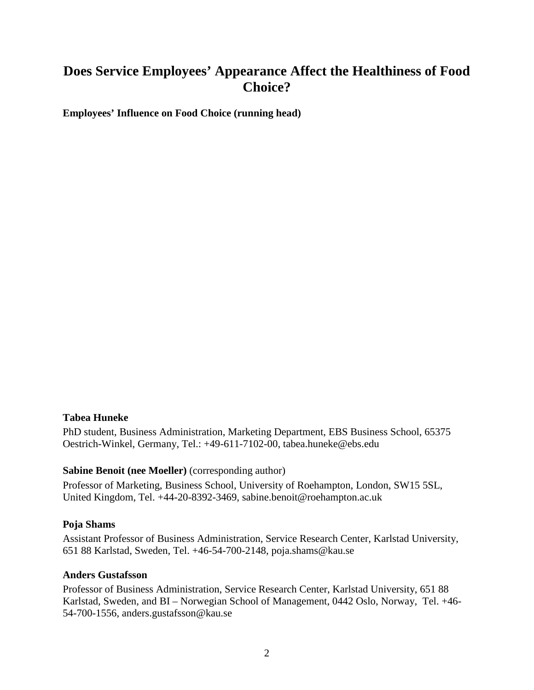# **Does Service Employees' Appearance Affect the Healthiness of Food Choice?**

**Employees' Influence on Food Choice (running head)**

# **Tabea Huneke**

PhD student, Business Administration, Marketing Department, EBS Business School, 65375 Oestrich-Winkel, Germany, Tel.: +49-611-7102-00, tabea.huneke@ebs.edu

# **Sabine Benoit (nee Moeller)** (corresponding author)

Professor of Marketing, Business School, University of Roehampton, London, SW15 5SL, United Kingdom, Tel. +44-20-8392-3469, sabine.benoit@roehampton.ac.uk

# **Poja Shams**

Assistant Professor of Business Administration, Service Research Center, Karlstad University, 651 88 Karlstad, Sweden, Tel. +46-54-700-2148, poja.shams@kau.se

# **Anders Gustafsson**

Professor of Business Administration, Service Research Center, Karlstad University, 651 88 Karlstad, Sweden, and BI – Norwegian School of Management, 0442 Oslo, Norway, Tel. +46- 54-700-1556, anders.gustafsson@kau.se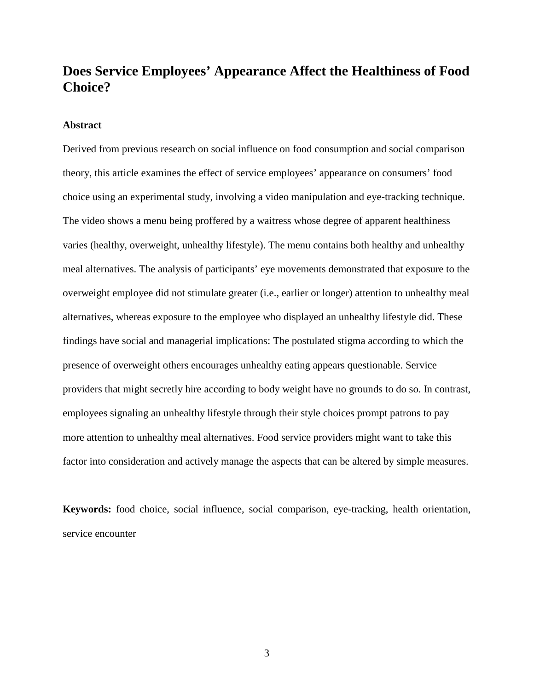# **Does Service Employees' Appearance Affect the Healthiness of Food Choice?**

# **Abstract**

Derived from previous research on social influence on food consumption and social comparison theory, this article examines the effect of service employees' appearance on consumers' food choice using an experimental study, involving a video manipulation and eye-tracking technique. The video shows a menu being proffered by a waitress whose degree of apparent healthiness varies (healthy, overweight, unhealthy lifestyle). The menu contains both healthy and unhealthy meal alternatives. The analysis of participants' eye movements demonstrated that exposure to the overweight employee did not stimulate greater (i.e., earlier or longer) attention to unhealthy meal alternatives, whereas exposure to the employee who displayed an unhealthy lifestyle did. These findings have social and managerial implications: The postulated stigma according to which the presence of overweight others encourages unhealthy eating appears questionable. Service providers that might secretly hire according to body weight have no grounds to do so. In contrast, employees signaling an unhealthy lifestyle through their style choices prompt patrons to pay more attention to unhealthy meal alternatives. Food service providers might want to take this factor into consideration and actively manage the aspects that can be altered by simple measures.

**Keywords:** food choice, social influence, social comparison, eye-tracking, health orientation, service encounter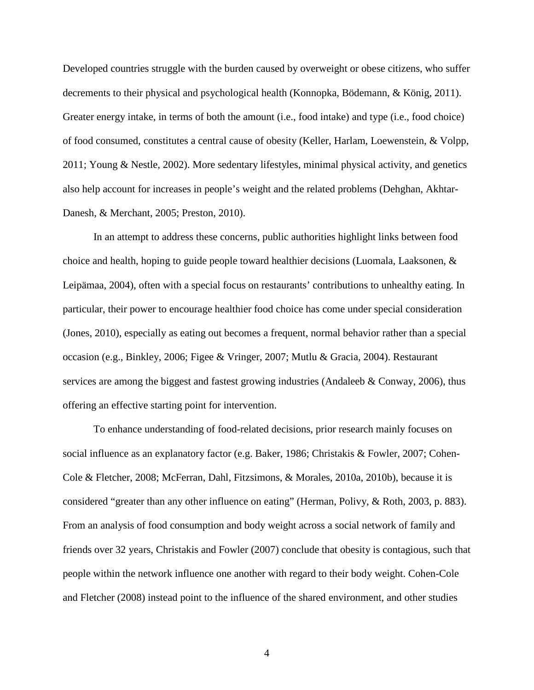Developed countries struggle with the burden caused by overweight or obese citizens, who suffer decrements to their physical and psychological health [\(Konnopka, Bödemann, & König, 2011\)](#page-30-0). Greater energy intake, in terms of both the amount (i.e., food intake) and type (i.e., food choice) of food consumed, constitutes a central cause of obesity [\(Keller, Harlam, Loewenstein, & Volpp,](#page-30-1)  [2011;](#page-30-1) [Young & Nestle, 2002\)](#page-34-0). More sedentary lifestyles, minimal physical activity, and genetics also help account for increases in people's weight and the related problems [\(Dehghan, Akhtar-](#page-28-0)[Danesh, & Merchant, 2005;](#page-28-0) [Preston, 2010\)](#page-32-0).

In an attempt to address these concerns, public authorities highlight links between food choice and health, hoping to guide people toward healthier decisions [\(Luomala, Laaksonen, &](#page-30-2)  [Leipämaa, 2004\)](#page-30-2), often with a special focus on restaurants' contributions to unhealthy eating. In particular, their power to encourage healthier food choice has come under special consideration [\(Jones, 2010\)](#page-29-0), especially as eating out becomes a frequent, normal behavior rather than a special occasion (e.g., [Binkley, 2006;](#page-26-0) [Figee & Vringer, 2007;](#page-28-1) [Mutlu & Gracia, 2004\)](#page-31-0). Restaurant services are among the biggest and fastest growing industries [\(Andaleeb & Conway, 2006\)](#page-26-1), thus offering an effective starting point for intervention.

To enhance understanding of food-related decisions, prior research mainly focuses on social influence as an explanatory factor (e.g. [Baker, 1986;](#page-26-2) [Christakis & Fowler, 2007;](#page-27-0) [Cohen-](#page-27-1)[Cole & Fletcher, 2008;](#page-27-1) [McFerran, Dahl, Fitzsimons, & Morales, 2010a,](#page-30-3) [2010b\)](#page-30-4), because it is considered "greater than any other influence on eating" [\(Herman, Polivy, & Roth, 2003, p. 883\)](#page-29-1). From an analysis of food consumption and body weight across a social network of family and friends over 32 years, [Christakis and Fowler \(2007\)](#page-27-0) conclude that obesity is contagious, such that people within the network influence one another with regard to their body weight. [Cohen-Cole](#page-27-1)  [and Fletcher \(2008\)](#page-27-1) instead point to the influence of the shared environment, and other studies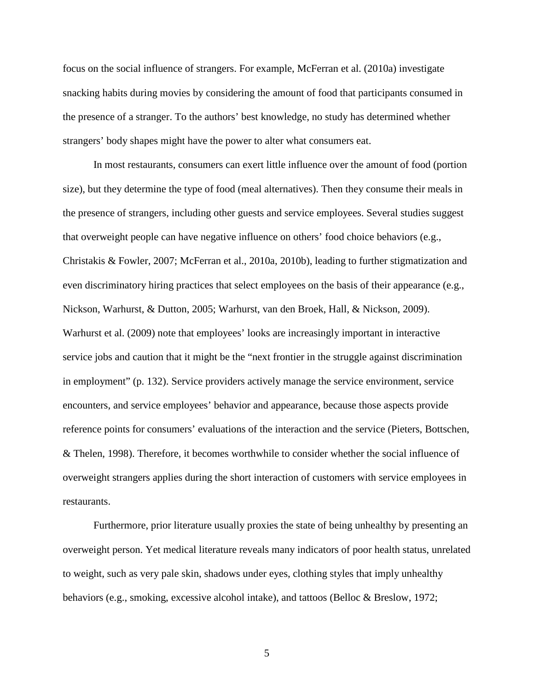focus on the social influence of strangers. For example, McFerran et al. [\(2010a\)](#page-30-3) investigate snacking habits during movies by considering the amount of food that participants consumed in the presence of a stranger. To the authors' best knowledge, no study has determined whether strangers' body shapes might have the power to alter what consumers eat.

In most restaurants, consumers can exert little influence over the amount of food (portion size), but they determine the type of food (meal alternatives). Then they consume their meals in the presence of strangers, including other guests and service employees. Several studies suggest that overweight people can have negative influence on others' food choice behaviors (e.g., [Christakis & Fowler, 2007;](#page-27-0) [McFerran et al., 2010a,](#page-30-3) [2010b\)](#page-30-4), leading to further stigmatization and even discriminatory hiring practices that select employees on the basis of their appearance (e.g., [Nickson, Warhurst, & Dutton, 2005;](#page-31-1) [Warhurst, van den Broek, Hall, & Nickson, 2009\)](#page-34-1). Warhurst et al. [\(2009\)](#page-34-1) note that employees' looks are increasingly important in interactive service jobs and caution that it might be the "next frontier in the struggle against discrimination in employment" (p. 132). Service providers actively manage the service environment, service encounters, and service employees' behavior and appearance, because those aspects provide reference points for consumers' evaluations of the interaction and the service [\(Pieters, Bottschen,](#page-32-1)  [& Thelen, 1998\)](#page-32-1). Therefore, it becomes worthwhile to consider whether the social influence of overweight strangers applies during the short interaction of customers with service employees in restaurants.

Furthermore, prior literature usually proxies the state of being unhealthy by presenting an overweight person. Yet medical literature reveals many indicators of poor health status, unrelated to weight, such as very pale skin, shadows under eyes, clothing styles that imply unhealthy behaviors (e.g., smoking, excessive alcohol intake), and tattoos [\(Belloc & Breslow, 1972;](#page-26-3)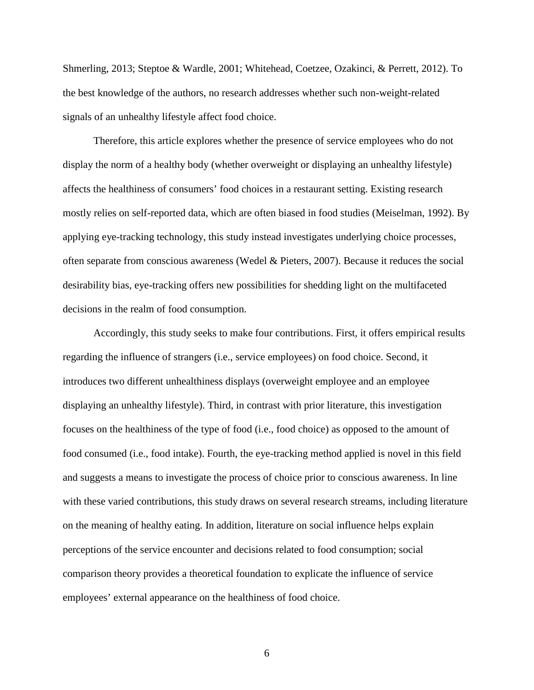[Shmerling, 2013;](#page-33-0) [Steptoe & Wardle, 2001;](#page-33-1) [Whitehead, Coetzee, Ozakinci, & Perrett, 2012\)](#page-34-2). To the best knowledge of the authors, no research addresses whether such non-weight-related signals of an unhealthy lifestyle affect food choice.

Therefore, this article explores whether the presence of service employees who do not display the norm of a healthy body (whether overweight or displaying an unhealthy lifestyle) affects the healthiness of consumers' food choices in a restaurant setting. Existing research mostly relies on self-reported data, which are often biased in food studies [\(Meiselman, 1992\)](#page-31-2). By applying eye-tracking technology, this study instead investigates underlying choice processes, often separate from conscious awareness [\(Wedel & Pieters, 2007\)](#page-34-3). Because it reduces the social desirability bias, eye-tracking offers new possibilities for shedding light on the multifaceted decisions in the realm of food consumption.

Accordingly, this study seeks to make four contributions. First, it offers empirical results regarding the influence of strangers (i.e., service employees) on food choice. Second, it introduces two different unhealthiness displays (overweight employee and an employee displaying an unhealthy lifestyle). Third, in contrast with prior literature, this investigation focuses on the healthiness of the type of food (i.e., food choice) as opposed to the amount of food consumed (i.e., food intake). Fourth, the eye-tracking method applied is novel in this field and suggests a means to investigate the process of choice prior to conscious awareness. In line with these varied contributions, this study draws on several research streams, including literature on the meaning of healthy eating. In addition, literature on social influence helps explain perceptions of the service encounter and decisions related to food consumption; social comparison theory provides a theoretical foundation to explicate the influence of service employees' external appearance on the healthiness of food choice.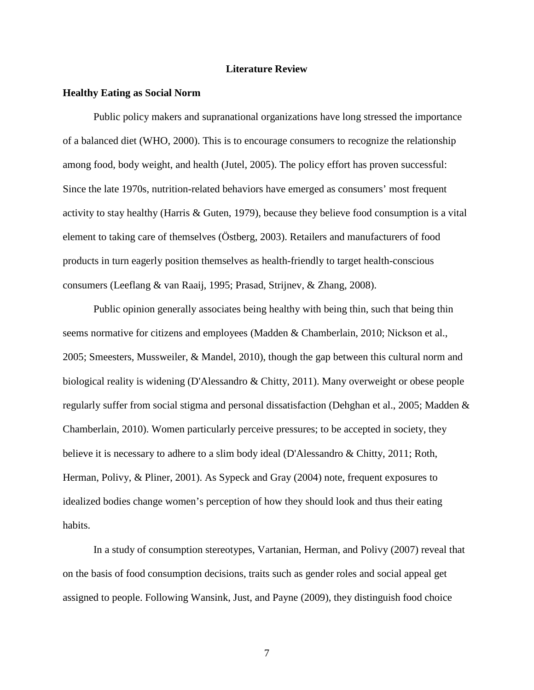### **Literature Review**

### **Healthy Eating as Social Norm**

Public policy makers and supranational organizations have long stressed the importance of a balanced diet [\(WHO, 2000\)](#page-34-4). This is to encourage consumers to recognize the relationship among food, body weight, and health [\(Jutel, 2005\)](#page-30-5). The policy effort has proven successful: Since the late 1970s, nutrition-related behaviors have emerged as consumers' most frequent activity to stay healthy [\(Harris & Guten, 1979\)](#page-29-2), because they believe food consumption is a vital element to taking care of themselves [\(Östberg, 2003\)](#page-31-3). Retailers and manufacturers of food products in turn eagerly position themselves as health-friendly to target health-conscious consumers [\(Leeflang & van Raaij, 1995;](#page-30-6) [Prasad, Strijnev, & Zhang, 2008\)](#page-32-2).

Public opinion generally associates being healthy with being thin, such that being thin seems normative for citizens and employees [\(Madden & Chamberlain, 2010;](#page-30-7) [Nickson et al.,](#page-31-1)  [2005;](#page-31-1) [Smeesters, Mussweiler, & Mandel, 2010\)](#page-33-2), though the gap between this cultural norm and biological reality is widening [\(D'Alessandro & Chitty, 2011\)](#page-27-2). Many overweight or obese people regularly suffer from social stigma and personal dissatisfaction [\(Dehghan et al., 2005;](#page-28-0) [Madden &](#page-30-7)  [Chamberlain, 2010\)](#page-30-7). Women particularly perceive pressures; to be accepted in society, they believe it is necessary to adhere to a slim body ideal [\(D'Alessandro & Chitty, 2011;](#page-27-2) [Roth,](#page-32-3)  [Herman, Polivy, & Pliner, 2001\)](#page-32-3). As Sypeck and Gray [\(2004\)](#page-33-3) note, frequent exposures to idealized bodies change women's perception of how they should look and thus their eating habits.

In a study of consumption stereotypes, Vartanian, Herman, and Polivy [\(2007\)](#page-34-5) reveal that on the basis of food consumption decisions, traits such as gender roles and social appeal get assigned to people. Following Wansink, Just, and Payne [\(2009\)](#page-34-6), they distinguish food choice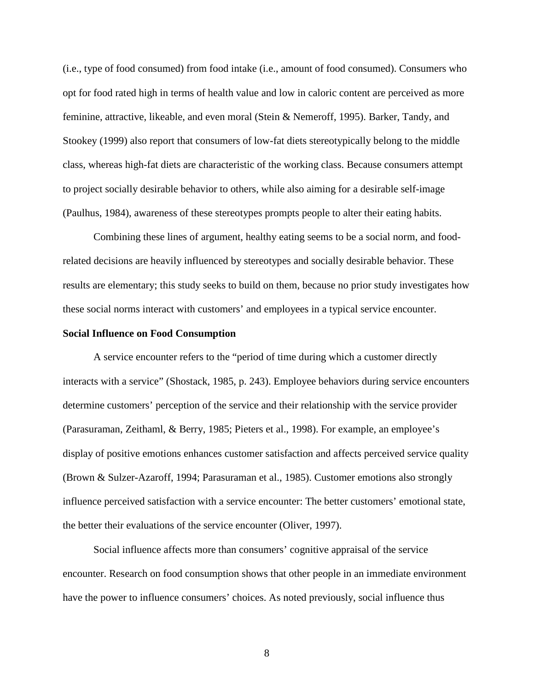(i.e., type of food consumed) from food intake (i.e., amount of food consumed). Consumers who opt for food rated high in terms of health value and low in caloric content are perceived as more feminine, attractive, likeable, and even moral [\(Stein & Nemeroff, 1995\)](#page-33-4). Barker, Tandy, and Stookey [\(1999\)](#page-26-4) also report that consumers of low-fat diets stereotypically belong to the middle class, whereas high-fat diets are characteristic of the working class. Because consumers attempt to project socially desirable behavior to others, while also aiming for a desirable self-image [\(Paulhus, 1984\)](#page-32-4), awareness of these stereotypes prompts people to alter their eating habits.

Combining these lines of argument, healthy eating seems to be a social norm, and foodrelated decisions are heavily influenced by stereotypes and socially desirable behavior. These results are elementary; this study seeks to build on them, because no prior study investigates how these social norms interact with customers' and employees in a typical service encounter.

#### **Social Influence on Food Consumption**

A service encounter refers to the "period of time during which a customer directly interacts with a service" [\(Shostack, 1985, p. 243\)](#page-33-5). Employee behaviors during service encounters determine customers' perception of the service and their relationship with the service provider [\(Parasuraman, Zeithaml, & Berry, 1985;](#page-32-5) [Pieters et al., 1998\)](#page-32-1). For example, an employee's display of positive emotions enhances customer satisfaction and affects perceived service quality [\(Brown & Sulzer-Azaroff, 1994;](#page-26-5) [Parasuraman et al., 1985\)](#page-32-5). Customer emotions also strongly influence perceived satisfaction with a service encounter: The better customers' emotional state, the better their evaluations of the service encounter [\(Oliver, 1997\)](#page-31-4).

Social influence affects more than consumers' cognitive appraisal of the service encounter. Research on food consumption shows that other people in an immediate environment have the power to influence consumers' choices. As noted previously, social influence thus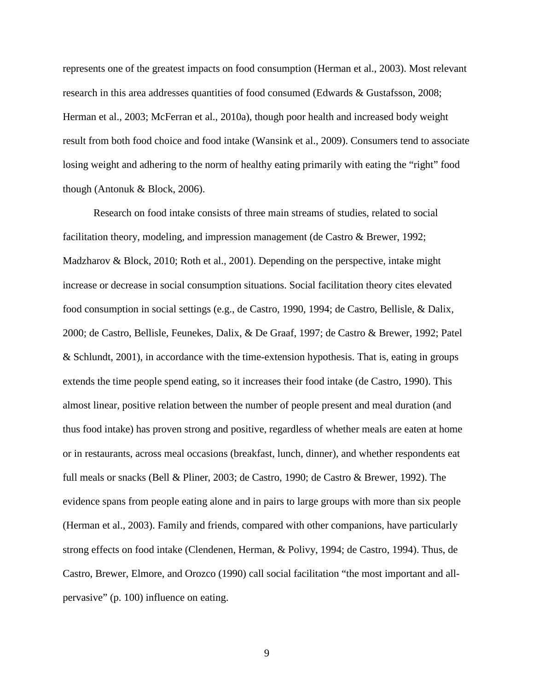represents one of the greatest impacts on food consumption [\(Herman et al., 2003\)](#page-29-1). Most relevant research in this area addresses quantities of food consumed [\(Edwards & Gustafsson, 2008;](#page-28-2) [Herman et al., 2003;](#page-29-1) [McFerran et al., 2010a\)](#page-30-3), though poor health and increased body weight result from both food choice and food intake [\(Wansink et al., 2009\)](#page-34-6). Consumers tend to associate losing weight and adhering to the norm of healthy eating primarily with eating the "right" food though [\(Antonuk & Block, 2006\)](#page-26-6).

Research on food intake consists of three main streams of studies, related to social facilitation theory, modeling, and impression management [\(de Castro & Brewer, 1992;](#page-28-3) [Madzharov & Block, 2010;](#page-30-8) [Roth et al., 2001\)](#page-32-3). Depending on the perspective, intake might increase or decrease in social consumption situations. Social facilitation theory cites elevated food consumption in social settings (e.g., [de Castro, 1990,](#page-27-3) [1994;](#page-28-4) [de Castro, Bellisle, & Dalix,](#page-28-5)  [2000;](#page-28-5) [de Castro, Bellisle, Feunekes, Dalix, & De Graaf, 1997;](#page-28-6) [de Castro & Brewer, 1992;](#page-28-3) [Patel](#page-32-6)  [& Schlundt, 2001\)](#page-32-6), in accordance with the time-extension hypothesis. That is, eating in groups extends the time people spend eating, so it increases their food intake [\(de Castro, 1990\)](#page-27-3). This almost linear, positive relation between the number of people present and meal duration (and thus food intake) has proven strong and positive, regardless of whether meals are eaten at home or in restaurants, across meal occasions (breakfast, lunch, dinner), and whether respondents eat full meals or snacks [\(Bell & Pliner, 2003;](#page-26-7) [de Castro, 1990;](#page-27-3) [de Castro & Brewer, 1992\)](#page-28-3). The evidence spans from people eating alone and in pairs to large groups with more than six people [\(Herman et al., 2003\)](#page-29-1). Family and friends, compared with other companions, have particularly strong effects on food intake [\(Clendenen, Herman, & Polivy, 1994;](#page-27-4) [de Castro, 1994\)](#page-28-4). Thus, de Castro, Brewer, Elmore, and Orozco [\(1990\)](#page-28-7) call social facilitation "the most important and allpervasive" (p. 100) influence on eating.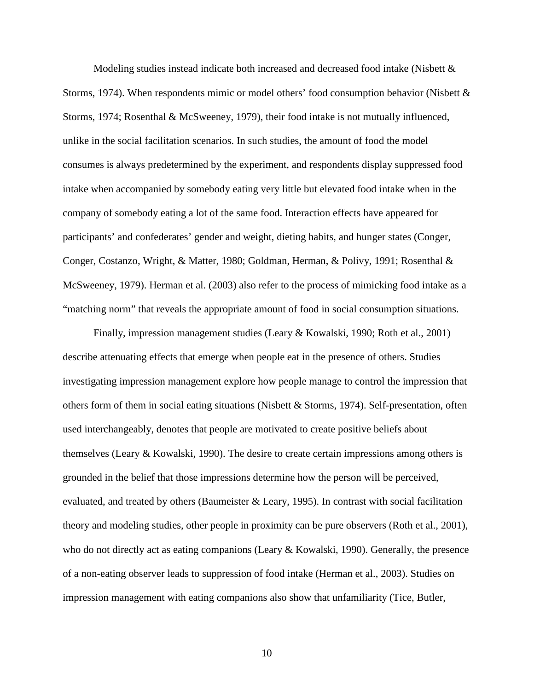Modeling studies instead indicate both increased and decreased food intake [\(Nisbett &](#page-31-5)  [Storms, 1974\)](#page-31-5). When respondents mimic or model others' food consumption behavior [\(Nisbett &](#page-31-5)  [Storms, 1974;](#page-31-5) [Rosenthal & McSweeney, 1979\)](#page-32-7), their food intake is not mutually influenced, unlike in the social facilitation scenarios. In such studies, the amount of food the model consumes is always predetermined by the experiment, and respondents display suppressed food intake when accompanied by somebody eating very little but elevated food intake when in the company of somebody eating a lot of the same food. Interaction effects have appeared for participants' and confederates' gender and weight, dieting habits, and hunger states [\(Conger,](#page-27-5)  [Conger, Costanzo, Wright, & Matter, 1980;](#page-27-5) [Goldman, Herman, & Polivy, 1991;](#page-29-3) [Rosenthal &](#page-32-7)  [McSweeney, 1979\)](#page-32-7). [Herman et al. \(2003\)](#page-29-1) also refer to the process of mimicking food intake as a "matching norm" that reveals the appropriate amount of food in social consumption situations.

Finally, impression management studies [\(Leary & Kowalski, 1990;](#page-30-9) [Roth et al., 2001\)](#page-32-3) describe attenuating effects that emerge when people eat in the presence of others. Studies investigating impression management explore how people manage to control the impression that others form of them in social eating situations [\(Nisbett & Storms, 1974\)](#page-31-5). Self-presentation, often used interchangeably, denotes that people are motivated to create positive beliefs about themselves [\(Leary & Kowalski, 1990\)](#page-30-9). The desire to create certain impressions among others is grounded in the belief that those impressions determine how the person will be perceived, evaluated, and treated by others [\(Baumeister & Leary, 1995\)](#page-26-8). In contrast with social facilitation theory and modeling studies, other people in proximity can be pure observers [\(Roth et al., 2001\)](#page-32-3), who do not directly act as eating companions [\(Leary & Kowalski, 1990\)](#page-30-9). Generally, the presence of a non-eating observer leads to suppression of food intake [\(Herman et al., 2003\)](#page-29-1). Studies on impression management with eating companions also show that unfamiliarity [\(Tice, Butler,](#page-34-7)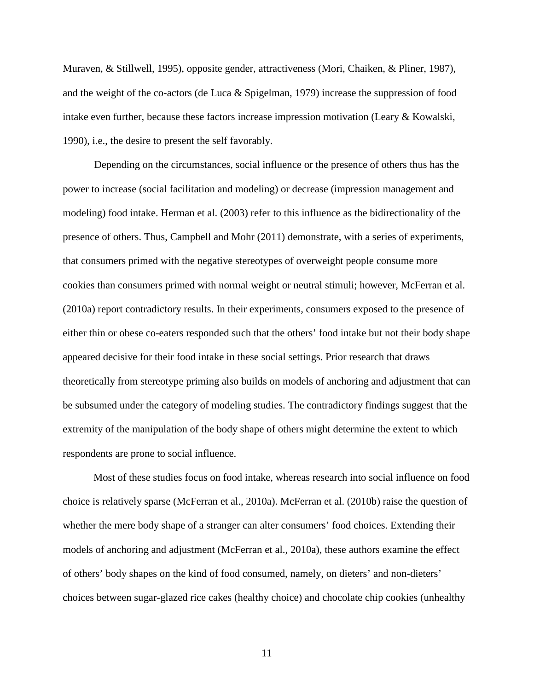[Muraven, & Stillwell, 1995\)](#page-34-7), opposite gender, attractiveness [\(Mori, Chaiken, & Pliner, 1987\)](#page-31-6), and the weight of the co-actors [\(de Luca & Spigelman, 1979\)](#page-28-8) increase the suppression of food intake even further, because these factors increase impression motivation (Leary [& Kowalski,](#page-30-9)  [1990\)](#page-30-9), i.e., the desire to present the self favorably.

Depending on the circumstances, social influence or the presence of others thus has the power to increase (social facilitation and modeling) or decrease (impression management and modeling) food intake. [Herman et al. \(2003\)](#page-29-1) refer to this influence as the bidirectionality of the presence of others. Thus, [Campbell and Mohr \(2011\)](#page-27-6) demonstrate, with a series of experiments, that consumers primed with the negative stereotypes of overweight people consume more cookies than consumers primed with normal weight or neutral stimuli; however, [McFerran et al.](#page-30-3)  [\(2010a\)](#page-30-3) report contradictory results. In their experiments, consumers exposed to the presence of either thin or obese co-eaters responded such that the others' food intake but not their body shape appeared decisive for their food intake in these social settings. Prior research that draws theoretically from stereotype priming also builds on models of anchoring and adjustment that can be subsumed under the category of modeling studies. The contradictory findings suggest that the extremity of the manipulation of the body shape of others might determine the extent to which respondents are prone to social influence.

Most of these studies focus on food intake, whereas research into social influence on food choice is relatively sparse [\(McFerran et al., 2010a\)](#page-30-3). McFerran et al. [\(2010b\)](#page-30-4) raise the question of whether the mere body shape of a stranger can alter consumers' food choices. Extending their models of anchoring and adjustment [\(McFerran et al., 2010a\)](#page-30-3), these authors examine the effect of others' body shapes on the kind of food consumed, namely, on dieters' and non-dieters' choices between sugar-glazed rice cakes (healthy choice) and chocolate chip cookies (unhealthy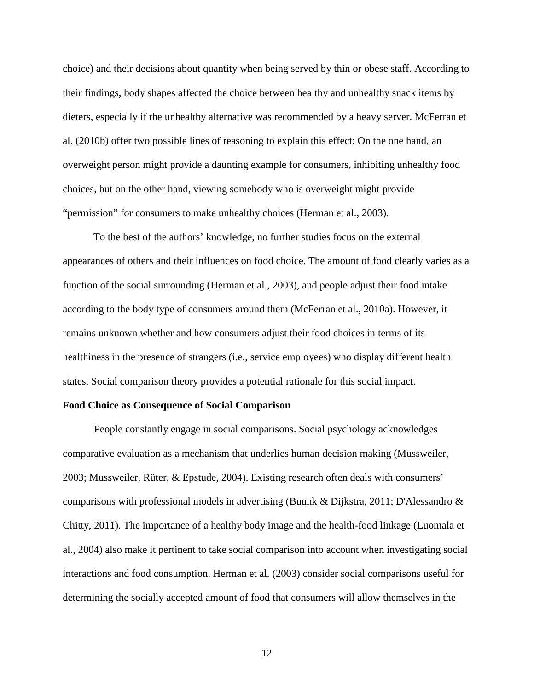choice) and their decisions about quantity when being served by thin or obese staff. According to their findings, body shapes affected the choice between healthy and unhealthy snack items by dieters, especially if the unhealthy alternative was recommended by a heavy server. McFerran et al. [\(2010b\)](#page-30-4) offer two possible lines of reasoning to explain this effect: On the one hand, an overweight person might provide a daunting example for consumers, inhibiting unhealthy food choices, but on the other hand, viewing somebody who is overweight might provide "permission" for consumers to make unhealthy choices [\(Herman et al., 2003\)](#page-29-1).

To the best of the authors' knowledge, no further studies focus on the external appearances of others and their influences on food choice. The amount of food clearly varies as a function of the social surrounding [\(Herman et al., 2003\)](#page-29-1), and people adjust their food intake according to the body type of consumers around them [\(McFerran et al., 2010a\)](#page-30-3). However, it remains unknown whether and how consumers adjust their food choices in terms of its healthiness in the presence of strangers (i.e., service employees) who display different health states. Social comparison theory provides a potential rationale for this social impact.

#### **Food Choice as Consequence of Social Comparison**

People constantly engage in social comparisons. Social psychology acknowledges comparative evaluation as a mechanism that underlies human decision making [\(Mussweiler,](#page-31-7)  [2003;](#page-31-7) [Mussweiler, Rüter, & Epstude, 2004\)](#page-31-8). Existing research often deals with consumers' comparisons with professional models in advertising [\(Buunk & Dijkstra, 2011;](#page-27-7) [D'Alessandro &](#page-27-2)  [Chitty, 2011\)](#page-27-2). The importance of a healthy body image and the health-food linkage [\(Luomala et](#page-30-2)  [al., 2004\)](#page-30-2) also make it pertinent to take social comparison into account when investigating social interactions and food consumption. Herman et al. [\(2003\)](#page-29-1) consider social comparisons useful for determining the socially accepted amount of food that consumers will allow themselves in the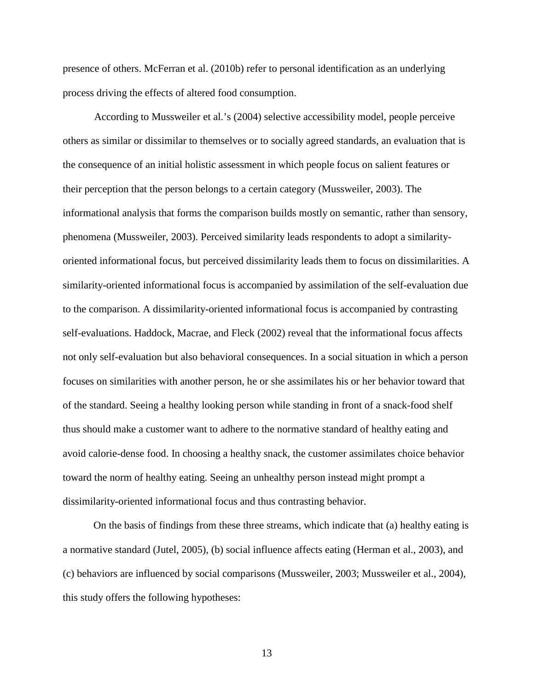presence of others. [McFerran et al. \(2010b\)](#page-30-4) refer to personal identification as an underlying process driving the effects of altered food consumption.

According to Mussweiler et al.'s [\(2004\)](#page-31-8) selective accessibility model, people perceive others as similar or dissimilar to themselves or to socially agreed standards, an evaluation that is the consequence of an initial holistic assessment in which people focus on salient features or their perception that the person belongs to a certain category [\(Mussweiler, 2003\)](#page-31-7). The informational analysis that forms the comparison builds mostly on semantic, rather than sensory, phenomena [\(Mussweiler, 2003\)](#page-31-7). Perceived similarity leads respondents to adopt a similarityoriented informational focus, but perceived dissimilarity leads them to focus on dissimilarities. A similarity-oriented informational focus is accompanied by assimilation of the self-evaluation due to the comparison. A dissimilarity-oriented informational focus is accompanied by contrasting self-evaluations. [Haddock, Macrae, and Fleck \(2002\)](#page-29-4) reveal that the informational focus affects not only self-evaluation but also behavioral consequences. In a social situation in which a person focuses on similarities with another person, he or she assimilates his or her behavior toward that of the standard. Seeing a healthy looking person while standing in front of a snack-food shelf thus should make a customer want to adhere to the normative standard of healthy eating and avoid calorie-dense food. In choosing a healthy snack, the customer assimilates choice behavior toward the norm of healthy eating. Seeing an unhealthy person instead might prompt a dissimilarity-oriented informational focus and thus contrasting behavior.

On the basis of findings from these three streams, which indicate that (a) healthy eating is a normative standard [\(Jutel, 2005\)](#page-30-5), (b) social influence affects eating [\(Herman et al., 2003\)](#page-29-1), and (c) behaviors are influenced by social comparisons [\(Mussweiler, 2003;](#page-31-7) [Mussweiler et al., 2004\)](#page-31-8), this study offers the following hypotheses: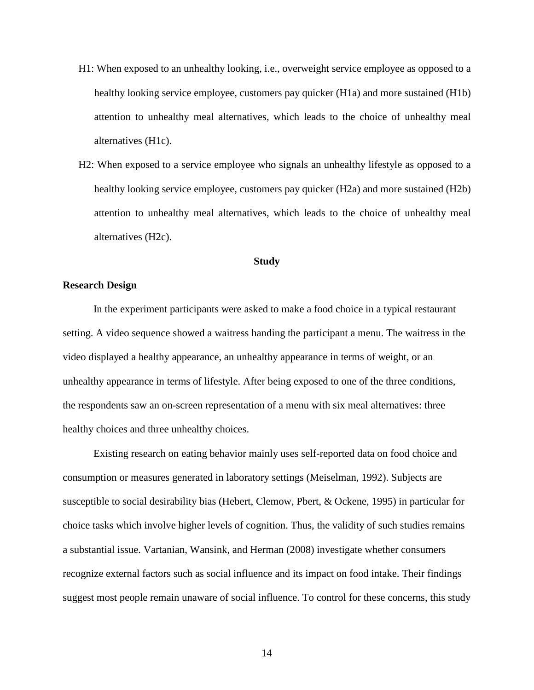- H1: When exposed to an unhealthy looking, i.e., overweight service employee as opposed to a healthy looking service employee, customers pay quicker (H1a) and more sustained (H1b) attention to unhealthy meal alternatives, which leads to the choice of unhealthy meal alternatives (H1c).
- H2: When exposed to a service employee who signals an unhealthy lifestyle as opposed to a healthy looking service employee, customers pay quicker (H2a) and more sustained (H2b) attention to unhealthy meal alternatives, which leads to the choice of unhealthy meal alternatives (H2c).

### **Study**

# **Research Design**

In the experiment participants were asked to make a food choice in a typical restaurant setting. A video sequence showed a waitress handing the participant a menu. The waitress in the video displayed a healthy appearance, an unhealthy appearance in terms of weight, or an unhealthy appearance in terms of lifestyle. After being exposed to one of the three conditions, the respondents saw an on-screen representation of a menu with six meal alternatives: three healthy choices and three unhealthy choices.

Existing research on eating behavior mainly uses self-reported data on food choice and consumption or measures generated in laboratory settings [\(Meiselman, 1992\)](#page-31-2). Subjects are susceptible to social desirability bias [\(Hebert, Clemow, Pbert, & Ockene, 1995\)](#page-29-5) in particular for choice tasks which involve higher levels of cognition. Thus, the validity of such studies remains a substantial issue. Vartanian, Wansink, and Herman [\(2008\)](#page-34-8) investigate whether consumers recognize external factors such as social influence and its impact on food intake. Their findings suggest most people remain unaware of social influence. To control for these concerns, this study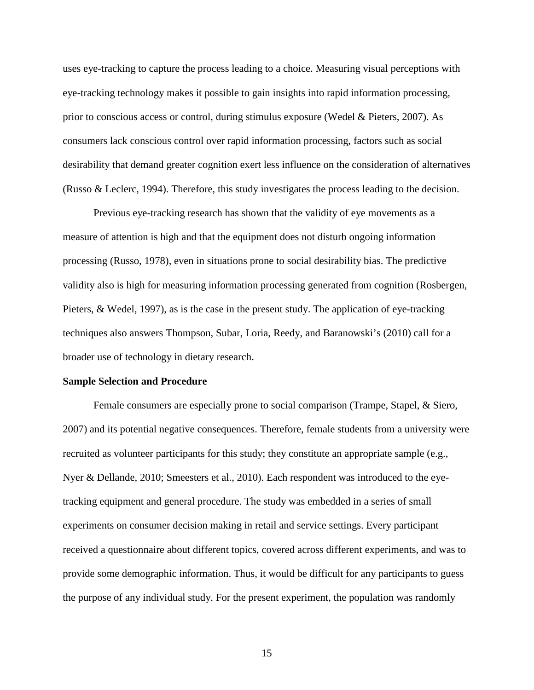uses eye-tracking to capture the process leading to a choice. Measuring visual perceptions with eye-tracking technology makes it possible to gain insights into rapid information processing, prior to conscious access or control, during stimulus exposure [\(Wedel & Pieters, 2007\)](#page-34-3). As consumers lack conscious control over rapid information processing, factors such as social desirability that demand greater cognition exert less influence on the consideration of alternatives [\(Russo & Leclerc, 1994\)](#page-33-6). Therefore, this study investigates the process leading to the decision.

Previous eye-tracking research has shown that the validity of eye movements as a measure of attention is high and that the equipment does not disturb ongoing information processing [\(Russo, 1978\)](#page-32-8), even in situations prone to social desirability bias. The predictive validity also is high for measuring information processing generated from cognition [\(Rosbergen,](#page-32-9)  [Pieters, & Wedel, 1997\)](#page-32-9), as is the case in the present study. The application of eye-tracking techniques also answers Thompson, Subar, Loria, Reedy, and Baranowski's [\(2010\)](#page-33-7) call for a broader use of technology in dietary research.

#### **Sample Selection and Procedure**

Female consumers are especially prone to social comparison [\(Trampe, Stapel, & Siero,](#page-34-9)  [2007\)](#page-34-9) and its potential negative consequences. Therefore, female students from a university were recruited as volunteer participants for this study; they constitute an appropriate sample (e.g., [Nyer & Dellande,](#page-31-9) 2010; [Smeesters et al., 2010\)](#page-33-2). Each respondent was introduced to the eyetracking equipment and general procedure. The study was embedded in a series of small experiments on consumer decision making in retail and service settings. Every participant received a questionnaire about different topics, covered across different experiments, and was to provide some demographic information. Thus, it would be difficult for any participants to guess the purpose of any individual study. For the present experiment, the population was randomly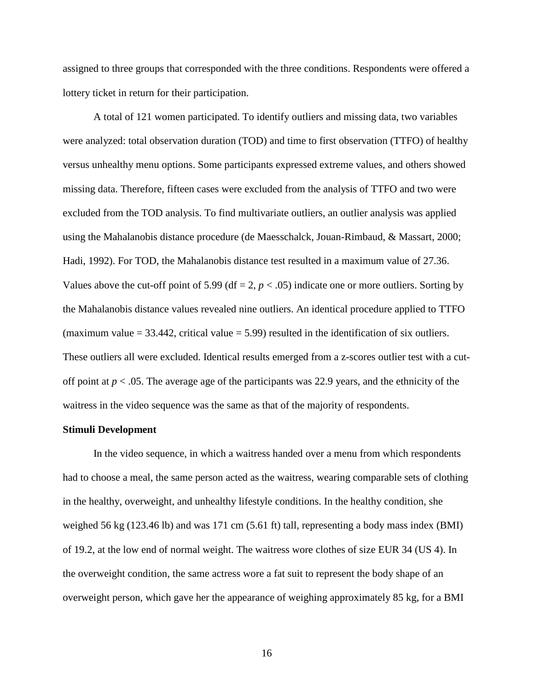assigned to three groups that corresponded with the three conditions. Respondents were offered a lottery ticket in return for their participation.

A total of 121 women participated. To identify outliers and missing data, two variables were analyzed: total observation duration (TOD) and time to first observation (TTFO) of healthy versus unhealthy menu options. Some participants expressed extreme values, and others showed missing data. Therefore, fifteen cases were excluded from the analysis of TTFO and two were excluded from the TOD analysis. To find multivariate outliers, an outlier analysis was applied using the Mahalanobis distance procedure [\(de Maesschalck, Jouan-Rimbaud, & Massart, 2000;](#page-28-9) [Hadi, 1992\)](#page-29-6). For TOD, the Mahalanobis distance test resulted in a maximum value of 27.36. Values above the cut-off point of 5.99 (df = 2,  $p < .05$ ) indicate one or more outliers. Sorting by the Mahalanobis distance values revealed nine outliers. An identical procedure applied to TTFO (maximum value  $= 33.442$ , critical value  $= 5.99$ ) resulted in the identification of six outliers. These outliers all were excluded. Identical results emerged from a z-scores outlier test with a cutoff point at  $p < .05$ . The average age of the participants was 22.9 years, and the ethnicity of the waitress in the video sequence was the same as that of the majority of respondents.

# **Stimuli Development**

In the video sequence, in which a waitress handed over a menu from which respondents had to choose a meal, the same person acted as the waitress, wearing comparable sets of clothing in the healthy, overweight, and unhealthy lifestyle conditions. In the healthy condition, she weighed 56 kg (123.46 lb) and was 171 cm (5.61 ft) tall, representing a body mass index (BMI) of 19.2, at the low end of normal weight. The waitress wore clothes of size EUR 34 (US 4). In the overweight condition, the same actress wore a fat suit to represent the body shape of an overweight person, which gave her the appearance of weighing approximately 85 kg, for a BMI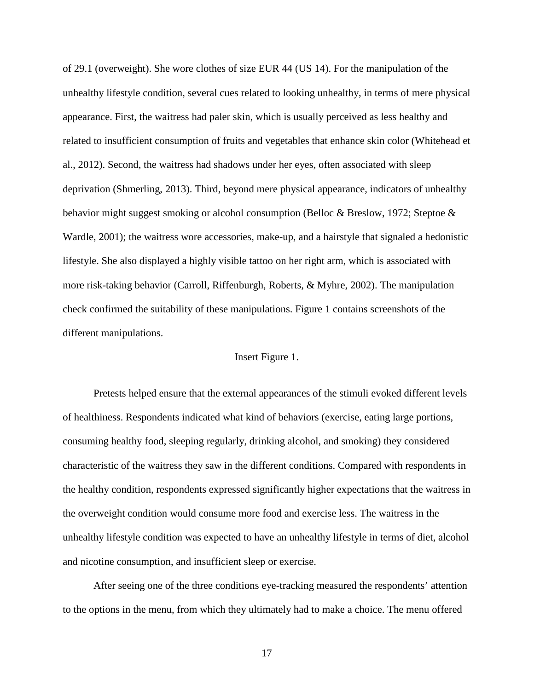of 29.1 (overweight). She wore clothes of size EUR 44 (US 14). For the manipulation of the unhealthy lifestyle condition, several cues related to looking unhealthy, in terms of mere physical appearance. First, the waitress had paler skin, which is usually perceived as less healthy and related to insufficient consumption of fruits and vegetables that enhance skin color [\(Whitehead et](#page-34-2)  [al., 2012\)](#page-34-2). Second, the waitress had shadows under her eyes, often associated with sleep deprivation [\(Shmerling, 2013\)](#page-33-0). Third, beyond mere physical appearance, indicators of unhealthy behavior might suggest smoking or alcohol consumption [\(Belloc & Breslow, 1972;](#page-26-3) [Steptoe &](#page-33-1)  [Wardle, 2001\)](#page-33-1); the waitress wore accessories, make-up, and a hairstyle that signaled a hedonistic lifestyle. She also displayed a highly visible tattoo on her right arm, which is associated with more risk-taking behavior [\(Carroll, Riffenburgh, Roberts, & Myhre, 2002\)](#page-27-8). The manipulation check confirmed the suitability of these manipulations. Figure 1 contains screenshots of the different manipulations.

# Insert Figure 1.

Pretests helped ensure that the external appearances of the stimuli evoked different levels of healthiness. Respondents indicated what kind of behaviors (exercise, eating large portions, consuming healthy food, sleeping regularly, drinking alcohol, and smoking) they considered characteristic of the waitress they saw in the different conditions. Compared with respondents in the healthy condition, respondents expressed significantly higher expectations that the waitress in the overweight condition would consume more food and exercise less. The waitress in the unhealthy lifestyle condition was expected to have an unhealthy lifestyle in terms of diet, alcohol and nicotine consumption, and insufficient sleep or exercise.

After seeing one of the three conditions eye-tracking measured the respondents' attention to the options in the menu, from which they ultimately had to make a choice. The menu offered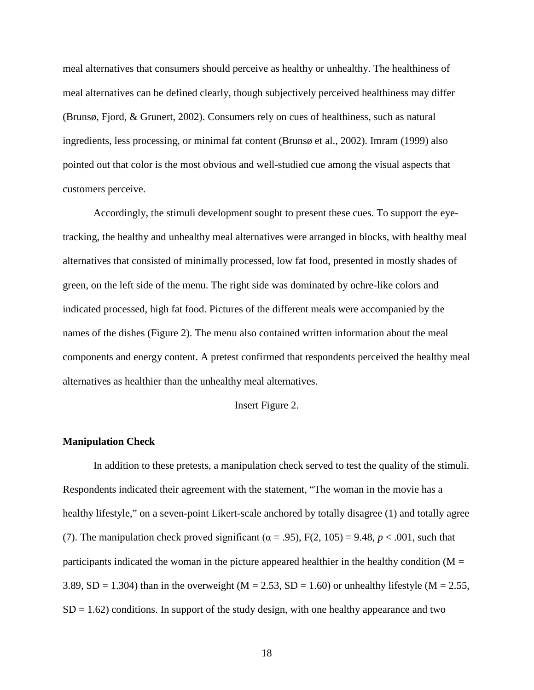meal alternatives that consumers should perceive as healthy or unhealthy. The healthiness of meal alternatives can be defined clearly, though subjectively perceived healthiness may differ [\(Brunsø, Fjord, & Grunert, 2002\)](#page-26-9). Consumers rely on cues of healthiness, such as natural ingredients, less processing, or minimal fat content [\(Brunsø et al., 2002\)](#page-26-9). [Imram \(1999\)](#page-29-7) also pointed out that color is the most obvious and well-studied cue among the visual aspects that customers perceive.

Accordingly, the stimuli development sought to present these cues. To support the eyetracking, the healthy and unhealthy meal alternatives were arranged in blocks, with healthy meal alternatives that consisted of minimally processed, low fat food, presented in mostly shades of green, on the left side of the menu. The right side was dominated by ochre-like colors and indicated processed, high fat food. Pictures of the different meals were accompanied by the names of the dishes (Figure 2). The menu also contained written information about the meal components and energy content. A pretest confirmed that respondents perceived the healthy meal alternatives as healthier than the unhealthy meal alternatives.

# Insert Figure 2.

### **Manipulation Check**

In addition to these pretests, a manipulation check served to test the quality of the stimuli. Respondents indicated their agreement with the statement, "The woman in the movie has a healthy lifestyle," on a seven-point Likert-scale anchored by totally disagree (1) and totally agree (7). The manipulation check proved significant ( $\alpha$  = .95), F(2, 105) = 9.48, *p* < .001, such that participants indicated the woman in the picture appeared healthier in the healthy condition ( $M =$ 3.89, SD = 1.304) than in the overweight ( $M = 2.53$ , SD = 1.60) or unhealthy lifestyle ( $M = 2.55$ ,  $SD = 1.62$ ) conditions. In support of the study design, with one healthy appearance and two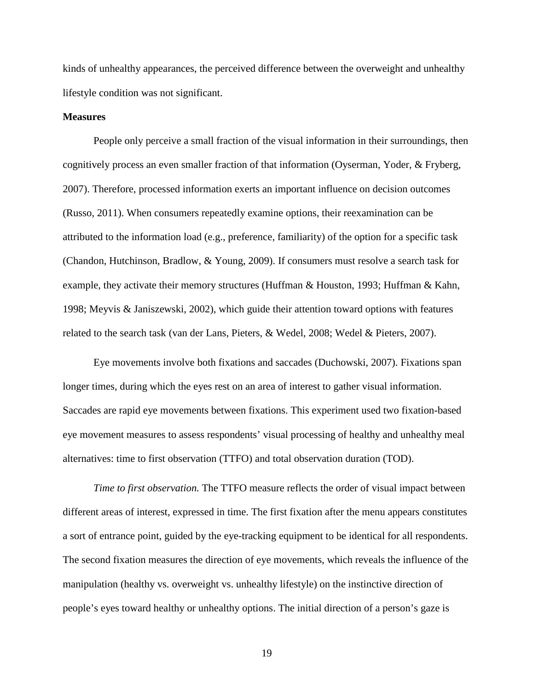kinds of unhealthy appearances, the perceived difference between the overweight and unhealthy lifestyle condition was not significant.

#### **Measures**

People only perceive a small fraction of the visual information in their surroundings, then cognitively process an even smaller fraction of that information [\(Oyserman, Yoder, & Fryberg,](#page-31-10)  [2007\)](#page-31-10). Therefore, processed information exerts an important influence on decision outcomes [\(Russo, 2011\)](#page-33-8). When consumers repeatedly examine options, their reexamination can be attributed to the information load (e.g., preference, familiarity) of the option for a specific task [\(Chandon, Hutchinson, Bradlow, & Young, 2009\)](#page-27-9). If consumers must resolve a search task for example, they activate their memory structures [\(Huffman & Houston, 1993;](#page-29-8) [Huffman & Kahn,](#page-29-9)  [1998;](#page-29-9) [Meyvis & Janiszewski, 2002\)](#page-31-11), which guide their attention toward options with features related to the search task [\(van der Lans, Pieters, & Wedel, 2008;](#page-34-10) [Wedel & Pieters, 2007\)](#page-34-3).

Eye movements involve both fixations and saccades [\(Duchowski, 2007\)](#page-28-10). Fixations span longer times, during which the eyes rest on an area of interest to gather visual information. Saccades are rapid eye movements between fixations. This experiment used two fixation-based eye movement measures to assess respondents' visual processing of healthy and unhealthy meal alternatives: time to first observation (TTFO) and total observation duration (TOD).

*Time to first observation.* The TTFO measure reflects the order of visual impact between different areas of interest, expressed in time. The first fixation after the menu appears constitutes a sort of entrance point, guided by the eye-tracking equipment to be identical for all respondents. The second fixation measures the direction of eye movements, which reveals the influence of the manipulation (healthy vs. overweight vs. unhealthy lifestyle) on the instinctive direction of people's eyes toward healthy or unhealthy options. The initial direction of a person's gaze is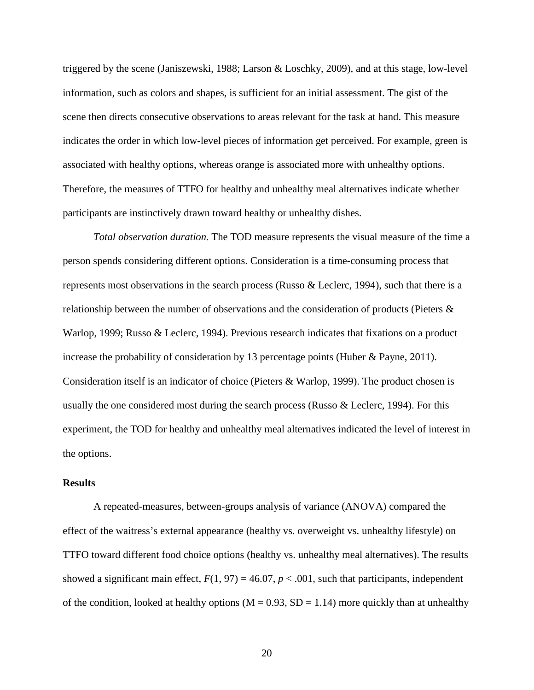triggered by the scene [\(Janiszewski, 1988;](#page-29-10) [Larson & Loschky, 2009\)](#page-30-10), and at this stage, low-level information, such as colors and shapes, is sufficient for an initial assessment. The gist of the scene then directs consecutive observations to areas relevant for the task at hand. This measure indicates the order in which low-level pieces of information get perceived. For example, green is associated with healthy options, whereas orange is associated more with unhealthy options. Therefore, the measures of TTFO for healthy and unhealthy meal alternatives indicate whether participants are instinctively drawn toward healthy or unhealthy dishes.

*Total observation duration.* The TOD measure represents the visual measure of the time a person spends considering different options. Consideration is a time-consuming process that represents most observations in the search process [\(Russo & Leclerc, 1994\)](#page-33-6), such that there is a relationship between the number of observations and the consideration of products [\(Pieters &](#page-32-10)  [Warlop, 1999;](#page-32-10) [Russo & Leclerc, 1994\)](#page-33-6). Previous research indicates that fixations on a product increase the probability of consideration by 13 percentage points [\(Huber & Payne, 2011\)](#page-29-11). Consideration itself is an indicator of choice [\(Pieters & Warlop, 1999\)](#page-32-10). The product chosen is usually the one considered most during the search process [\(Russo & Leclerc, 1994\)](#page-33-6). For this experiment, the TOD for healthy and unhealthy meal alternatives indicated the level of interest in the options.

# **Results**

A repeated-measures, between-groups analysis of variance (ANOVA) compared the effect of the waitress's external appearance (healthy vs. overweight vs. unhealthy lifestyle) on TTFO toward different food choice options (healthy vs. unhealthy meal alternatives). The results showed a significant main effect,  $F(1, 97) = 46.07$ ,  $p < .001$ , such that participants, independent of the condition, looked at healthy options ( $M = 0.93$ ,  $SD = 1.14$ ) more quickly than at unhealthy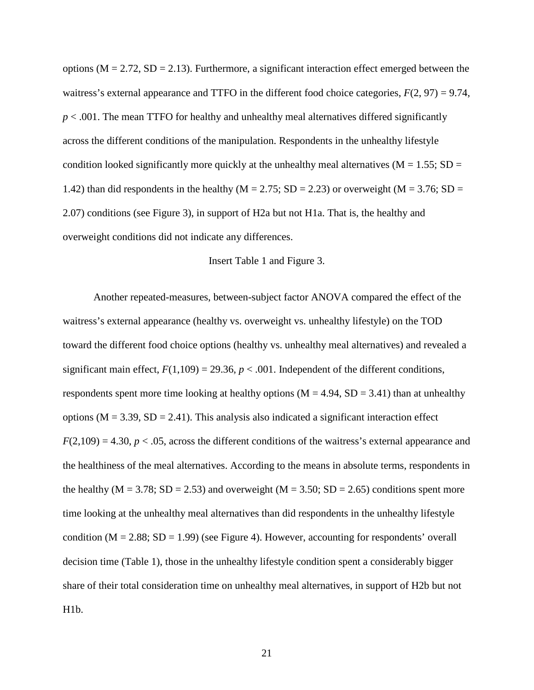options ( $M = 2.72$ ,  $SD = 2.13$ ). Furthermore, a significant interaction effect emerged between the waitress's external appearance and TTFO in the different food choice categories, *F*(2, 97) = 9.74,  $p < .001$ . The mean TTFO for healthy and unhealthy meal alternatives differed significantly across the different conditions of the manipulation. Respondents in the unhealthy lifestyle condition looked significantly more quickly at the unhealthy meal alternatives ( $M = 1.55$ ; SD = 1.42) than did respondents in the healthy ( $M = 2.75$ ; SD = 2.23) or overweight ( $M = 3.76$ ; SD = 2.07) conditions (see Figure 3), in support of H2a but not H1a. That is, the healthy and overweight conditions did not indicate any differences.

#### Insert Table 1 and Figure 3.

Another repeated-measures, between-subject factor ANOVA compared the effect of the waitress's external appearance (healthy vs. overweight vs. unhealthy lifestyle) on the TOD toward the different food choice options (healthy vs. unhealthy meal alternatives) and revealed a significant main effect,  $F(1,109) = 29.36$ ,  $p < .001$ . Independent of the different conditions, respondents spent more time looking at healthy options ( $M = 4.94$ ,  $SD = 3.41$ ) than at unhealthy options ( $M = 3.39$ ,  $SD = 2.41$ ). This analysis also indicated a significant interaction effect  $F(2,109) = 4.30, p < .05$ , across the different conditions of the waitress's external appearance and the healthiness of the meal alternatives. According to the means in absolute terms, respondents in the healthy ( $M = 3.78$ ;  $SD = 2.53$ ) and overweight ( $M = 3.50$ ;  $SD = 2.65$ ) conditions spent more time looking at the unhealthy meal alternatives than did respondents in the unhealthy lifestyle condition ( $M = 2.88$ ;  $SD = 1.99$ ) (see Figure 4). However, accounting for respondents' overall decision time (Table 1), those in the unhealthy lifestyle condition spent a considerably bigger share of their total consideration time on unhealthy meal alternatives, in support of H2b but not  $H1b.$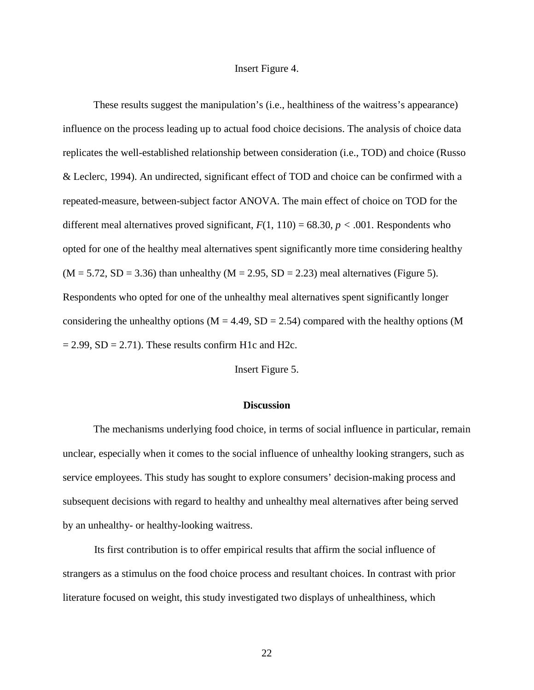### Insert Figure 4.

These results suggest the manipulation's (i.e., healthiness of the waitress's appearance) influence on the process leading up to actual food choice decisions. The analysis of choice data replicates the well-established relationship between consideration (i.e., TOD) and choice [\(Russo](#page-33-6)  [& Leclerc, 1994\)](#page-33-6). An undirected, significant effect of TOD and choice can be confirmed with a repeated-measure, between-subject factor ANOVA. The main effect of choice on TOD for the different meal alternatives proved significant,  $F(1, 110) = 68.30$ ,  $p < .001$ . Respondents who opted for one of the healthy meal alternatives spent significantly more time considering healthy  $(M = 5.72, SD = 3.36)$  than unhealthy  $(M = 2.95, SD = 2.23)$  meal alternatives (Figure 5). Respondents who opted for one of the unhealthy meal alternatives spent significantly longer considering the unhealthy options ( $M = 4.49$ ,  $SD = 2.54$ ) compared with the healthy options (M  $= 2.99$ , SD  $= 2.71$ ). These results confirm H1c and H2c.

Insert Figure 5.

#### **Discussion**

The mechanisms underlying food choice, in terms of social influence in particular, remain unclear, especially when it comes to the social influence of unhealthy looking strangers, such as service employees. This study has sought to explore consumers' decision-making process and subsequent decisions with regard to healthy and unhealthy meal alternatives after being served by an unhealthy- or healthy-looking waitress.

Its first contribution is to offer empirical results that affirm the social influence of strangers as a stimulus on the food choice process and resultant choices. In contrast with prior literature focused on weight, this study investigated two displays of unhealthiness, which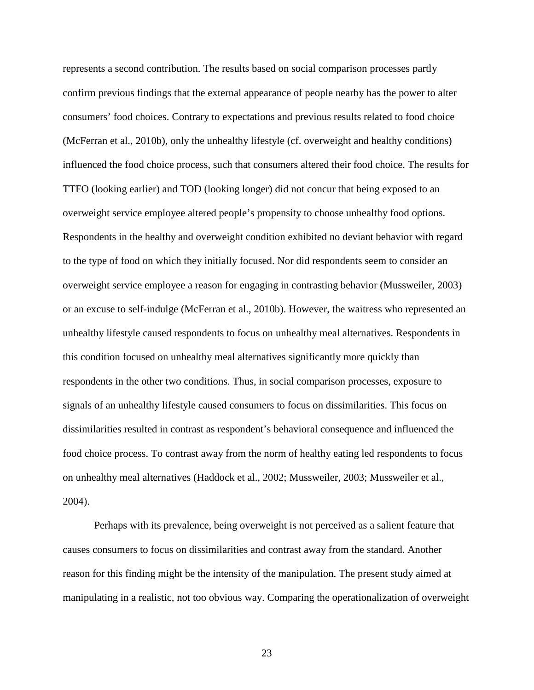represents a second contribution. The results based on social comparison processes partly confirm previous findings that the external appearance of people nearby has the power to alter consumers' food choices. Contrary to expectations and previous results related to food choice [\(McFerran et al., 2010b\)](#page-30-4), only the unhealthy lifestyle (cf. overweight and healthy conditions) influenced the food choice process, such that consumers altered their food choice. The results for TTFO (looking earlier) and TOD (looking longer) did not concur that being exposed to an overweight service employee altered people's propensity to choose unhealthy food options. Respondents in the healthy and overweight condition exhibited no deviant behavior with regard to the type of food on which they initially focused. Nor did respondents seem to consider an overweight service employee a reason for engaging in contrasting behavior [\(Mussweiler, 2003\)](#page-31-7) or an excuse to self-indulge [\(McFerran et al., 2010b\)](#page-30-4). However, the waitress who represented an unhealthy lifestyle caused respondents to focus on unhealthy meal alternatives. Respondents in this condition focused on unhealthy meal alternatives significantly more quickly than respondents in the other two conditions. Thus, in social comparison processes, exposure to signals of an unhealthy lifestyle caused consumers to focus on dissimilarities. This focus on dissimilarities resulted in contrast as respondent's behavioral consequence and influenced the food choice process. To contrast away from the norm of healthy eating led respondents to focus on unhealthy meal alternatives [\(Haddock et al., 2002;](#page-29-4) [Mussweiler, 2003;](#page-31-7) [Mussweiler et al.,](#page-31-8)  [2004\)](#page-31-8).

Perhaps with its prevalence, being overweight is not perceived as a salient feature that causes consumers to focus on dissimilarities and contrast away from the standard. Another reason for this finding might be the intensity of the manipulation. The present study aimed at manipulating in a realistic, not too obvious way. Comparing the operationalization of overweight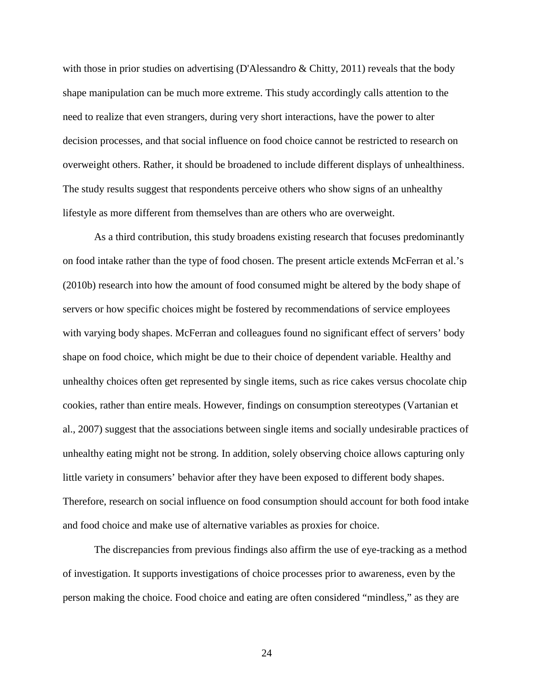with those in prior studies on advertising [\(D'Alessandro & Chitty, 2011\)](#page-27-2) reveals that the body shape manipulation can be much more extreme. This study accordingly calls attention to the need to realize that even strangers, during very short interactions, have the power to alter decision processes, and that social influence on food choice cannot be restricted to research on overweight others. Rather, it should be broadened to include different displays of unhealthiness. The study results suggest that respondents perceive others who show signs of an unhealthy lifestyle as more different from themselves than are others who are overweight.

As a third contribution, this study broadens existing research that focuses predominantly on food intake rather than the type of food chosen. The present article extends McFerran et al.'s [\(2010b\)](#page-30-4) research into how the amount of food consumed might be altered by the body shape of servers or how specific choices might be fostered by recommendations of service employees with varying body shapes. McFerran and colleagues found no significant effect of servers' body shape on food choice, which might be due to their choice of dependent variable. Healthy and unhealthy choices often get represented by single items, such as rice cakes versus chocolate chip cookies, rather than entire meals. However, findings on consumption stereotypes [\(Vartanian et](#page-34-5)  [al., 2007\)](#page-34-5) suggest that the associations between single items and socially undesirable practices of unhealthy eating might not be strong. In addition, solely observing choice allows capturing only little variety in consumers' behavior after they have been exposed to different body shapes. Therefore, research on social influence on food consumption should account for both food intake and food choice and make use of alternative variables as proxies for choice.

The discrepancies from previous findings also affirm the use of eye-tracking as a method of investigation. It supports investigations of choice processes prior to awareness, even by the person making the choice. Food choice and eating are often considered "mindless," as they are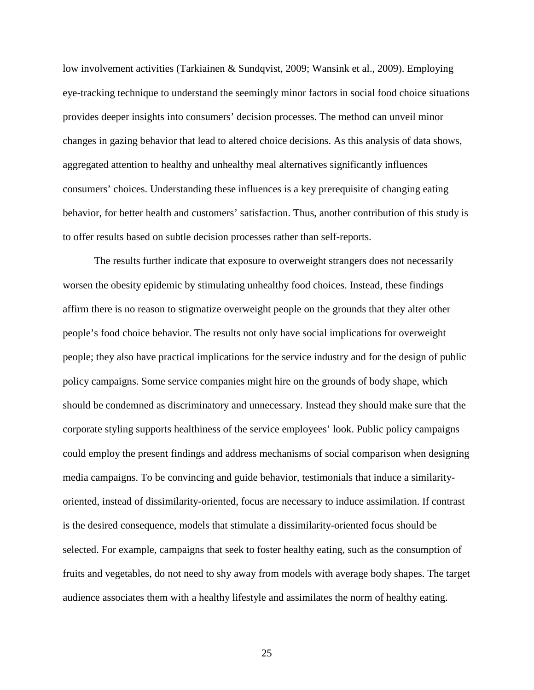low involvement activities [\(Tarkiainen & Sundqvist, 2009;](#page-33-9) [Wansink et al., 2009\)](#page-34-6). Employing eye-tracking technique to understand the seemingly minor factors in social food choice situations provides deeper insights into consumers' decision processes. The method can unveil minor changes in gazing behavior that lead to altered choice decisions. As this analysis of data shows, aggregated attention to healthy and unhealthy meal alternatives significantly influences consumers' choices. Understanding these influences is a key prerequisite of changing eating behavior, for better health and customers' satisfaction. Thus, another contribution of this study is to offer results based on subtle decision processes rather than self-reports.

The results further indicate that exposure to overweight strangers does not necessarily worsen the obesity epidemic by stimulating unhealthy food choices. Instead, these findings affirm there is no reason to stigmatize overweight people on the grounds that they alter other people's food choice behavior. The results not only have social implications for overweight people; they also have practical implications for the service industry and for the design of public policy campaigns. Some service companies might hire on the grounds of body shape, which should be condemned as discriminatory and unnecessary. Instead they should make sure that the corporate styling supports healthiness of the service employees' look. Public policy campaigns could employ the present findings and address mechanisms of social comparison when designing media campaigns. To be convincing and guide behavior, testimonials that induce a similarityoriented, instead of dissimilarity-oriented, focus are necessary to induce assimilation. If contrast is the desired consequence, models that stimulate a dissimilarity-oriented focus should be selected. For example, campaigns that seek to foster healthy eating, such as the consumption of fruits and vegetables, do not need to shy away from models with average body shapes. The target audience associates them with a healthy lifestyle and assimilates the norm of healthy eating.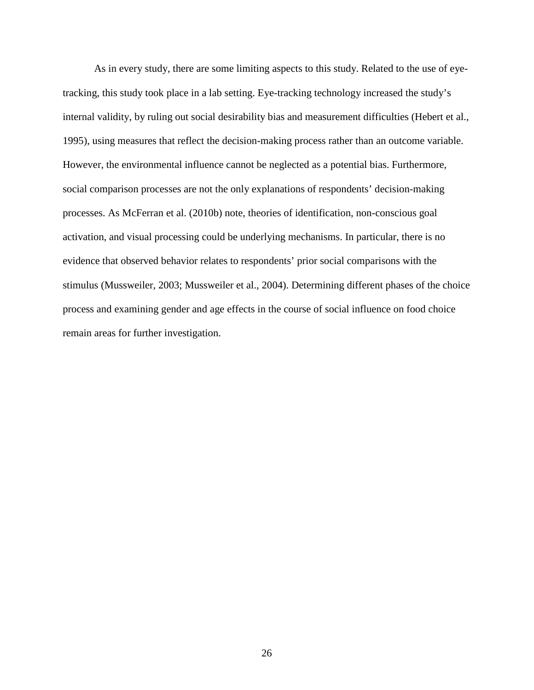As in every study, there are some limiting aspects to this study. Related to the use of eyetracking, this study took place in a lab setting. Eye-tracking technology increased the study's internal validity, by ruling out social desirability bias and measurement difficulties [\(Hebert et al.,](#page-29-5)  [1995\)](#page-29-5), using measures that reflect the decision-making process rather than an outcome variable. However, the environmental influence cannot be neglected as a potential bias. Furthermore, social comparison processes are not the only explanations of respondents' decision-making processes. As McFerran et al. [\(2010b\)](#page-30-4) note, theories of identification, non-conscious goal activation, and visual processing could be underlying mechanisms. In particular, there is no evidence that observed behavior relates to respondents' prior social comparisons with the stimulus [\(Mussweiler, 2003;](#page-31-7) [Mussweiler et al., 2004\)](#page-31-8). Determining different phases of the choice process and examining gender and age effects in the course of social influence on food choice remain areas for further investigation.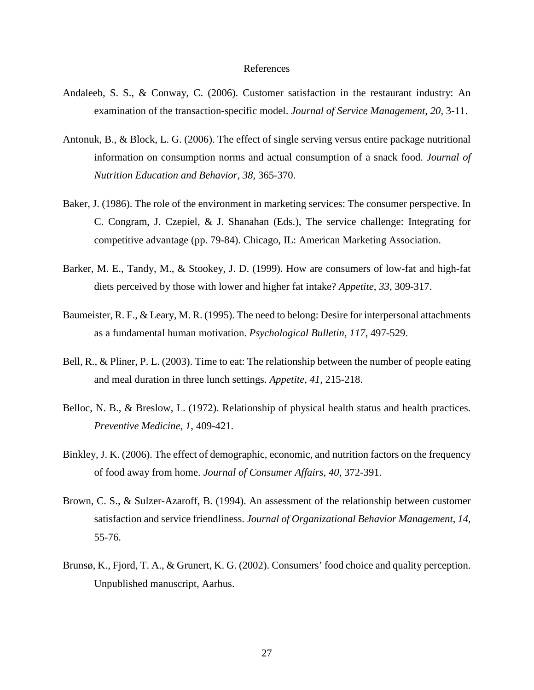#### References

- <span id="page-26-1"></span>Andaleeb, S. S., & Conway, C. (2006). Customer satisfaction in the restaurant industry: An examination of the transaction-specific model. *Journal of Service Management*, *20*, 3-11.
- <span id="page-26-6"></span>Antonuk, B., & Block, L. G. (2006). The effect of single serving versus entire package nutritional information on consumption norms and actual consumption of a snack food. *Journal of Nutrition Education and Behavior*, *38*, 365-370.
- <span id="page-26-2"></span>Baker, J. (1986). The role of the environment in marketing services: The consumer perspective. In C. Congram, J. Czepiel, & J. Shanahan (Eds.), The service challenge: Integrating for competitive advantage (pp. 79-84). Chicago, IL: American Marketing Association.
- <span id="page-26-4"></span>Barker, M. E., Tandy, M., & Stookey, J. D. (1999). How are consumers of low-fat and high-fat diets perceived by those with lower and higher fat intake? *Appetite*, *33*, 309-317.
- <span id="page-26-8"></span>Baumeister, R. F., & Leary, M. R. (1995). The need to belong: Desire for interpersonal attachments as a fundamental human motivation. *Psychological Bulletin*, *117*, 497-529.
- <span id="page-26-7"></span>Bell, R., & Pliner, P. L. (2003). Time to eat: The relationship between the number of people eating and meal duration in three lunch settings. *Appetite*, *41*, 215-218.
- <span id="page-26-3"></span>Belloc, N. B., & Breslow, L. (1972). Relationship of physical health status and health practices. *Preventive Medicine*, *1*, 409-421.
- <span id="page-26-0"></span>Binkley, J. K. (2006). The effect of demographic, economic, and nutrition factors on the frequency of food away from home. *Journal of Consumer Affairs*, *40*, 372-391.
- <span id="page-26-5"></span>Brown, C. S., & Sulzer-Azaroff, B. (1994). An assessment of the relationship between customer satisfaction and service friendliness. *Journal of Organizational Behavior Management*, *14*, 55-76.
- <span id="page-26-9"></span>Brunsø, K., Fjord, T. A., & Grunert, K. G. (2002). Consumers' food choice and quality perception. Unpublished manuscript, Aarhus.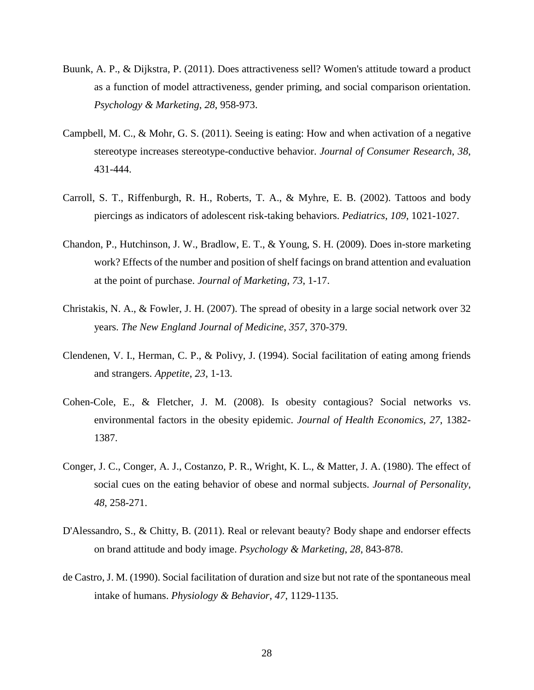- <span id="page-27-7"></span>Buunk, A. P., & Dijkstra, P. (2011). Does attractiveness sell? Women's attitude toward a product as a function of model attractiveness, gender priming, and social comparison orientation. *Psychology & Marketing*, *28*, 958-973.
- <span id="page-27-6"></span>Campbell, M. C., & Mohr, G. S. (2011). Seeing is eating: How and when activation of a negative stereotype increases stereotype-conductive behavior. *Journal of Consumer Research*, *38*, 431-444.
- <span id="page-27-8"></span>Carroll, S. T., Riffenburgh, R. H., Roberts, T. A., & Myhre, E. B. (2002). Tattoos and body piercings as indicators of adolescent risk-taking behaviors. *Pediatrics*, *109*, 1021-1027.
- <span id="page-27-9"></span>Chandon, P., Hutchinson, J. W., Bradlow, E. T., & Young, S. H. (2009). Does in-store marketing work? Effects of the number and position of shelf facings on brand attention and evaluation at the point of purchase. *Journal of Marketing*, *73*, 1-17.
- <span id="page-27-0"></span>Christakis, N. A., & Fowler, J. H. (2007). The spread of obesity in a large social network over 32 years. *The New England Journal of Medicine*, *357*, 370-379.
- <span id="page-27-4"></span>Clendenen, V. I., Herman, C. P., & Polivy, J. (1994). Social facilitation of eating among friends and strangers. *Appetite*, *23*, 1-13.
- <span id="page-27-1"></span>Cohen-Cole, E., & Fletcher, J. M. (2008). Is obesity contagious? Social networks vs. environmental factors in the obesity epidemic. *Journal of Health Economics*, *27*, 1382- 1387.
- <span id="page-27-5"></span>Conger, J. C., Conger, A. J., Costanzo, P. R., Wright, K. L., & Matter, J. A. (1980). The effect of social cues on the eating behavior of obese and normal subjects. *Journal of Personality*, *48*, 258-271.
- <span id="page-27-2"></span>D'Alessandro, S., & Chitty, B. (2011). Real or relevant beauty? Body shape and endorser effects on brand attitude and body image. *Psychology & Marketing*, *28*, 843-878.
- <span id="page-27-3"></span>de Castro, J. M. (1990). Social facilitation of duration and size but not rate of the spontaneous meal intake of humans. *Physiology & Behavior*, *47*, 1129-1135.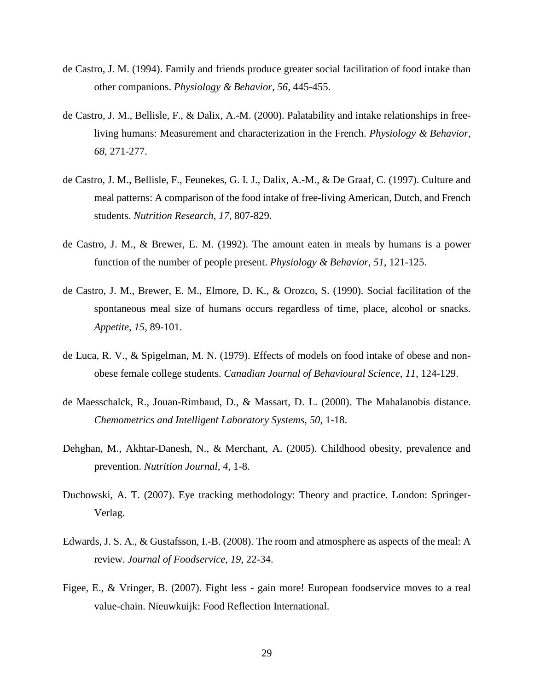- <span id="page-28-4"></span>de Castro, J. M. (1994). Family and friends produce greater social facilitation of food intake than other companions. *Physiology & Behavior*, *56*, 445-455.
- <span id="page-28-5"></span>de Castro, J. M., Bellisle, F., & Dalix, A.-M. (2000). Palatability and intake relationships in freeliving humans: Measurement and characterization in the French. *Physiology & Behavior*, *68*, 271-277.
- <span id="page-28-6"></span>de Castro, J. M., Bellisle, F., Feunekes, G. I. J., Dalix, A.-M., & De Graaf, C. (1997). Culture and meal patterns: A comparison of the food intake of free-living American, Dutch, and French students. *Nutrition Research*, *17*, 807-829.
- <span id="page-28-3"></span>de Castro, J. M., & Brewer, E. M. (1992). The amount eaten in meals by humans is a power function of the number of people present. *Physiology & Behavior*, *51*, 121-125.
- <span id="page-28-7"></span>de Castro, J. M., Brewer, E. M., Elmore, D. K., & Orozco, S. (1990). Social facilitation of the spontaneous meal size of humans occurs regardless of time, place, alcohol or snacks. *Appetite*, *15*, 89-101.
- <span id="page-28-8"></span>de Luca, R. V., & Spigelman, M. N. (1979). Effects of models on food intake of obese and nonobese female college students. *Canadian Journal of Behavioural Science*, *11*, 124-129.
- <span id="page-28-9"></span>de Maesschalck, R., Jouan-Rimbaud, D., & Massart, D. L. (2000). The Mahalanobis distance. *Chemometrics and Intelligent Laboratory Systems*, *50*, 1-18.
- <span id="page-28-0"></span>Dehghan, M., Akhtar-Danesh, N., & Merchant, A. (2005). Childhood obesity, prevalence and prevention. *Nutrition Journal*, *4*, 1-8.
- <span id="page-28-10"></span>Duchowski, A. T. (2007). Eye tracking methodology: Theory and practice. London: Springer-Verlag.
- <span id="page-28-2"></span>Edwards, J. S. A., & Gustafsson, I.-B. (2008). The room and atmosphere as aspects of the meal: A review. *Journal of Foodservice*, *19*, 22-34.
- <span id="page-28-1"></span>Figee, E., & Vringer, B. (2007). Fight less - gain more! European foodservice moves to a real value-chain. Nieuwkuijk: Food Reflection International.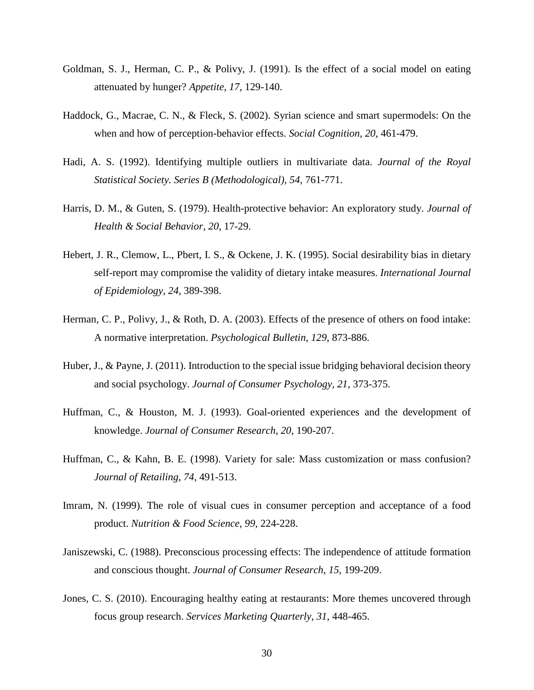- <span id="page-29-3"></span>Goldman, S. J., Herman, C. P., & Polivy, J. (1991). Is the effect of a social model on eating attenuated by hunger? *Appetite*, *17*, 129-140.
- <span id="page-29-4"></span>Haddock, G., Macrae, C. N., & Fleck, S. (2002). Syrian science and smart supermodels: On the when and how of perception-behavior effects. *Social Cognition*, *20*, 461-479.
- <span id="page-29-6"></span>Hadi, A. S. (1992). Identifying multiple outliers in multivariate data. *Journal of the Royal Statistical Society. Series B (Methodological)*, *54*, 761-771.
- <span id="page-29-2"></span>Harris, D. M., & Guten, S. (1979). Health-protective behavior: An exploratory study. *Journal of Health & Social Behavior*, *20*, 17-29.
- <span id="page-29-5"></span>Hebert, J. R., Clemow, L., Pbert, I. S., & Ockene, J. K. (1995). Social desirability bias in dietary self-report may compromise the validity of dietary intake measures. *International Journal of Epidemiology*, *24*, 389-398.
- <span id="page-29-1"></span>Herman, C. P., Polivy, J., & Roth, D. A. (2003). Effects of the presence of others on food intake: A normative interpretation. *Psychological Bulletin*, *129*, 873-886.
- <span id="page-29-11"></span>Huber, J., & Payne, J. (2011). Introduction to the special issue bridging behavioral decision theory and social psychology. *Journal of Consumer Psychology*, *21*, 373-375.
- <span id="page-29-8"></span>Huffman, C., & Houston, M. J. (1993). Goal-oriented experiences and the development of knowledge. *Journal of Consumer Research*, *20*, 190-207.
- <span id="page-29-9"></span>Huffman, C., & Kahn, B. E. (1998). Variety for sale: Mass customization or mass confusion? *Journal of Retailing*, *74*, 491-513.
- <span id="page-29-7"></span>Imram, N. (1999). The role of visual cues in consumer perception and acceptance of a food product. *Nutrition & Food Science*, *99*, 224-228.
- <span id="page-29-10"></span>Janiszewski, C. (1988). Preconscious processing effects: The independence of attitude formation and conscious thought. *Journal of Consumer Research*, *15*, 199-209.
- <span id="page-29-0"></span>Jones, C. S. (2010). Encouraging healthy eating at restaurants: More themes uncovered through focus group research. *Services Marketing Quarterly*, *31*, 448-465.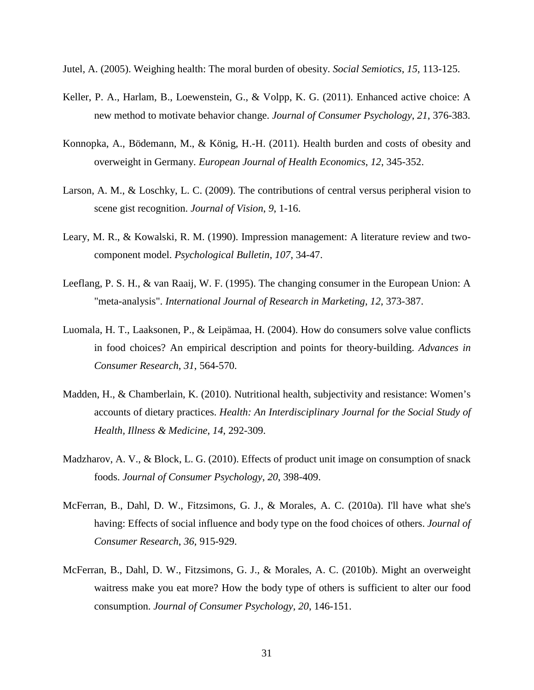<span id="page-30-5"></span>Jutel, A. (2005). Weighing health: The moral burden of obesity. *Social Semiotics*, *15*, 113-125.

- <span id="page-30-1"></span>Keller, P. A., Harlam, B., Loewenstein, G., & Volpp, K. G. (2011). Enhanced active choice: A new method to motivate behavior change. *Journal of Consumer Psychology*, *21*, 376-383.
- <span id="page-30-0"></span>Konnopka, A., Bödemann, M., & König, H.-H. (2011). Health burden and costs of obesity and overweight in Germany. *European Journal of Health Economics*, *12*, 345-352.
- <span id="page-30-10"></span>Larson, A. M., & Loschky, L. C. (2009). The contributions of central versus peripheral vision to scene gist recognition. *Journal of Vision*, *9*, 1-16.
- <span id="page-30-9"></span>Leary, M. R., & Kowalski, R. M. (1990). Impression management: A literature review and twocomponent model. *Psychological Bulletin*, *107*, 34-47.
- <span id="page-30-6"></span>Leeflang, P. S. H., & van Raaij, W. F. (1995). The changing consumer in the European Union: A "meta-analysis". *International Journal of Research in Marketing*, *12*, 373-387.
- <span id="page-30-2"></span>Luomala, H. T., Laaksonen, P., & Leipämaa, H. (2004). How do consumers solve value conflicts in food choices? An empirical description and points for theory-building. *Advances in Consumer Research*, *31*, 564-570.
- <span id="page-30-7"></span>Madden, H., & Chamberlain, K. (2010). Nutritional health, subjectivity and resistance: Women's accounts of dietary practices. *Health: An Interdisciplinary Journal for the Social Study of Health, Illness & Medicine*, *14*, 292-309.
- <span id="page-30-8"></span>Madzharov, A. V., & Block, L. G. (2010). Effects of product unit image on consumption of snack foods. *Journal of Consumer Psychology*, *20*, 398-409.
- <span id="page-30-3"></span>McFerran, B., Dahl, D. W., Fitzsimons, G. J., & Morales, A. C. (2010a). I'll have what she's having: Effects of social influence and body type on the food choices of others. *Journal of Consumer Research*, *36*, 915-929.
- <span id="page-30-4"></span>McFerran, B., Dahl, D. W., Fitzsimons, G. J., & Morales, A. C. (2010b). Might an overweight waitress make you eat more? How the body type of others is sufficient to alter our food consumption. *Journal of Consumer Psychology*, *20*, 146-151.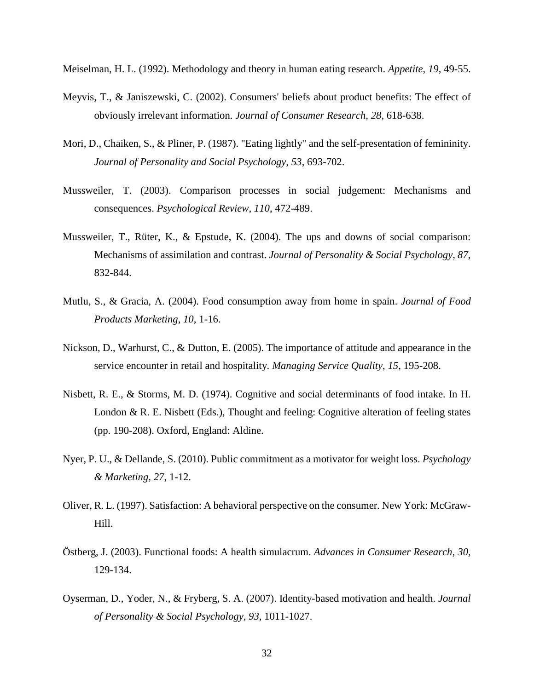<span id="page-31-2"></span>Meiselman, H. L. (1992). Methodology and theory in human eating research. *Appetite*, *19*, 49-55.

- <span id="page-31-11"></span>Meyvis, T., & Janiszewski, C. (2002). Consumers' beliefs about product benefits: The effect of obviously irrelevant information. *Journal of Consumer Research*, *28*, 618-638.
- <span id="page-31-6"></span>Mori, D., Chaiken, S., & Pliner, P. (1987). "Eating lightly" and the self-presentation of femininity. *Journal of Personality and Social Psychology*, *53*, 693-702.
- <span id="page-31-7"></span>Mussweiler, T. (2003). Comparison processes in social judgement: Mechanisms and consequences. *Psychological Review*, *110*, 472-489.
- <span id="page-31-8"></span>Mussweiler, T., Rüter, K., & Epstude, K. (2004). The ups and downs of social comparison: Mechanisms of assimilation and contrast. *Journal of Personality & Social Psychology*, *87*, 832-844.
- <span id="page-31-0"></span>Mutlu, S., & Gracia, A. (2004). Food consumption away from home in spain. *Journal of Food Products Marketing*, *10*, 1-16.
- <span id="page-31-1"></span>Nickson, D., Warhurst, C., & Dutton, E. (2005). The importance of attitude and appearance in the service encounter in retail and hospitality. *Managing Service Quality*, *15*, 195-208.
- <span id="page-31-5"></span>Nisbett, R. E., & Storms, M. D. (1974). Cognitive and social determinants of food intake. In H. London & R. E. Nisbett (Eds.), Thought and feeling: Cognitive alteration of feeling states (pp. 190-208). Oxford, England: Aldine.
- <span id="page-31-9"></span>Nyer, P. U., & Dellande, S. (2010). Public commitment as a motivator for weight loss. *Psychology & Marketing*, *27*, 1-12.
- <span id="page-31-4"></span>Oliver, R. L. (1997). Satisfaction: A behavioral perspective on the consumer. New York: McGraw-Hill.
- <span id="page-31-3"></span>Östberg, J. (2003). Functional foods: A health simulacrum. *Advances in Consumer Research*, *30*, 129-134.
- <span id="page-31-10"></span>Oyserman, D., Yoder, N., & Fryberg, S. A. (2007). Identity-based motivation and health. *Journal of Personality & Social Psychology*, *93*, 1011-1027.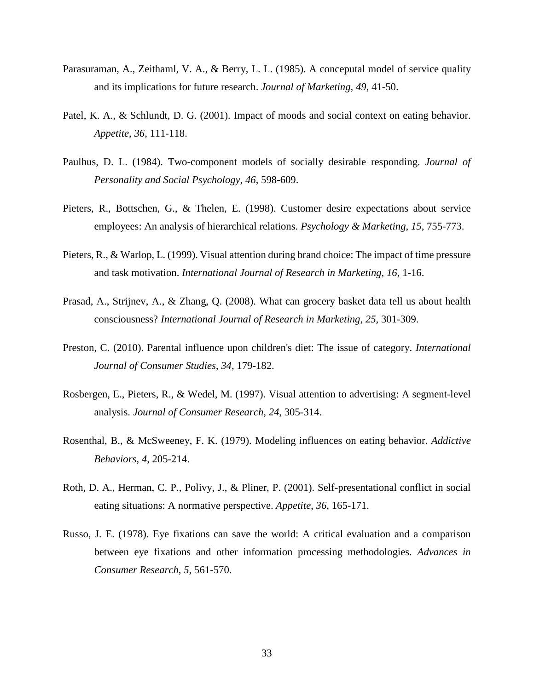- <span id="page-32-5"></span>Parasuraman, A., Zeithaml, V. A., & Berry, L. L. (1985). A conceputal model of service quality and its implications for future research. *Journal of Marketing*, *49*, 41-50.
- <span id="page-32-6"></span>Patel, K. A., & Schlundt, D. G. (2001). Impact of moods and social context on eating behavior. *Appetite*, *36*, 111-118.
- <span id="page-32-4"></span>Paulhus, D. L. (1984). Two-component models of socially desirable responding. *Journal of Personality and Social Psychology*, *46*, 598-609.
- <span id="page-32-1"></span>Pieters, R., Bottschen, G., & Thelen, E. (1998). Customer desire expectations about service employees: An analysis of hierarchical relations. *Psychology & Marketing*, *15*, 755-773.
- <span id="page-32-10"></span>Pieters, R., & Warlop, L. (1999). Visual attention during brand choice: The impact of time pressure and task motivation. *International Journal of Research in Marketing*, *16*, 1-16.
- <span id="page-32-2"></span>Prasad, A., Strijnev, A., & Zhang, Q. (2008). What can grocery basket data tell us about health consciousness? *International Journal of Research in Marketing*, *25*, 301-309.
- <span id="page-32-0"></span>Preston, C. (2010). Parental influence upon children's diet: The issue of category. *International Journal of Consumer Studies*, *34*, 179-182.
- <span id="page-32-9"></span>Rosbergen, E., Pieters, R., & Wedel, M. (1997). Visual attention to advertising: A segment-level analysis. *Journal of Consumer Research*, *24*, 305-314.
- <span id="page-32-7"></span>Rosenthal, B., & McSweeney, F. K. (1979). Modeling influences on eating behavior. *Addictive Behaviors*, *4*, 205-214.
- <span id="page-32-3"></span>Roth, D. A., Herman, C. P., Polivy, J., & Pliner, P. (2001). Self-presentational conflict in social eating situations: A normative perspective. *Appetite*, *36*, 165-171.
- <span id="page-32-8"></span>Russo, J. E. (1978). Eye fixations can save the world: A critical evaluation and a comparison between eye fixations and other information processing methodologies. *Advances in Consumer Research*, *5*, 561-570.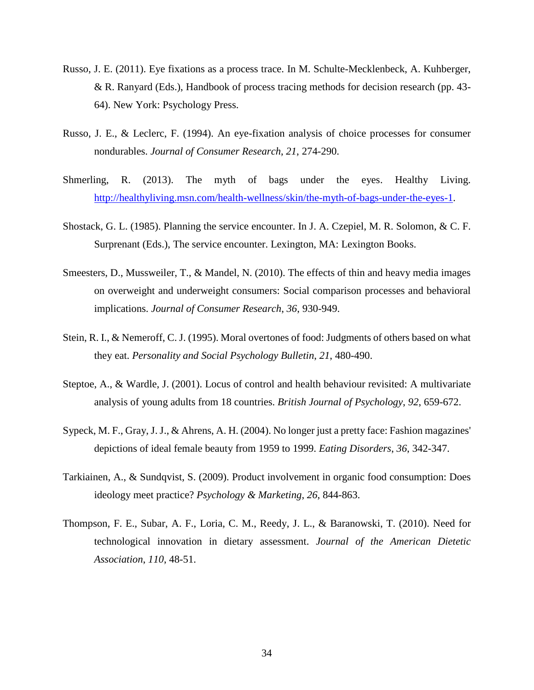- <span id="page-33-8"></span>Russo, J. E. (2011). Eye fixations as a process trace. In M. Schulte-Mecklenbeck, A. Kuhberger, & R. Ranyard (Eds.), Handbook of process tracing methods for decision research (pp. 43- 64). New York: Psychology Press.
- <span id="page-33-6"></span>Russo, J. E., & Leclerc, F. (1994). An eye-fixation analysis of choice processes for consumer nondurables. *Journal of Consumer Research*, *21*, 274-290.
- <span id="page-33-0"></span>Shmerling, R. (2013). The myth of bags under the eyes. Healthy Living. [http://healthyliving.msn.com/health-wellness/skin/the-myth-of-bags-under-the-eyes-1.](http://healthyliving.msn.com/health-wellness/skin/the-myth-of-bags-under-the-eyes-1)
- <span id="page-33-5"></span>Shostack, G. L. (1985). Planning the service encounter. In J. A. Czepiel, M. R. Solomon, & C. F. Surprenant (Eds.), The service encounter. Lexington, MA: Lexington Books.
- <span id="page-33-2"></span>Smeesters, D., Mussweiler, T., & Mandel, N. (2010). The effects of thin and heavy media images on overweight and underweight consumers: Social comparison processes and behavioral implications. *Journal of Consumer Research*, *36*, 930-949.
- <span id="page-33-4"></span>Stein, R. I., & Nemeroff, C. J. (1995). Moral overtones of food: Judgments of others based on what they eat. *Personality and Social Psychology Bulletin*, *21*, 480-490.
- <span id="page-33-1"></span>Steptoe, A., & Wardle, J. (2001). Locus of control and health behaviour revisited: A multivariate analysis of young adults from 18 countries. *British Journal of Psychology*, *92*, 659-672.
- <span id="page-33-3"></span>Sypeck, M. F., Gray, J. J., & Ahrens, A. H. (2004). No longer just a pretty face: Fashion magazines' depictions of ideal female beauty from 1959 to 1999. *Eating Disorders*, *36*, 342-347.
- <span id="page-33-9"></span>Tarkiainen, A., & Sundqvist, S. (2009). Product involvement in organic food consumption: Does ideology meet practice? *Psychology & Marketing*, *26*, 844-863.
- <span id="page-33-7"></span>Thompson, F. E., Subar, A. F., Loria, C. M., Reedy, J. L., & Baranowski, T. (2010). Need for technological innovation in dietary assessment. *Journal of the American Dietetic Association*, *110*, 48-51.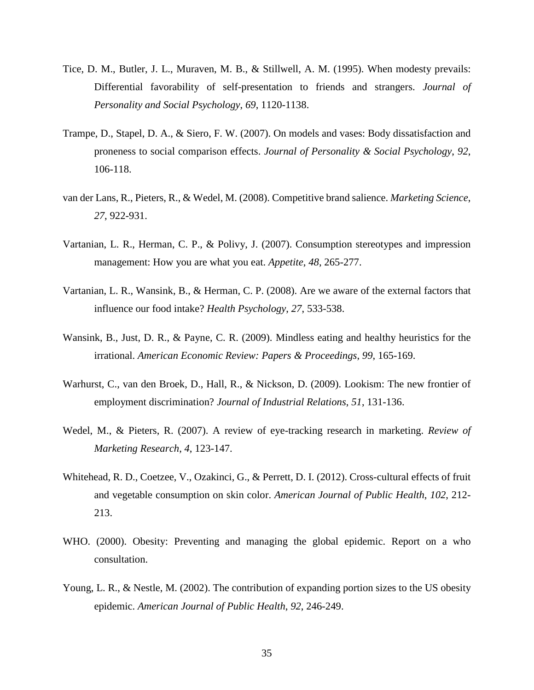- <span id="page-34-7"></span>Tice, D. M., Butler, J. L., Muraven, M. B., & Stillwell, A. M. (1995). When modesty prevails: Differential favorability of self-presentation to friends and strangers. *Journal of Personality and Social Psychology*, *69*, 1120-1138.
- <span id="page-34-9"></span>Trampe, D., Stapel, D. A., & Siero, F. W. (2007). On models and vases: Body dissatisfaction and proneness to social comparison effects. *Journal of Personality & Social Psychology*, *92*, 106-118.
- <span id="page-34-10"></span>van der Lans, R., Pieters, R., & Wedel, M. (2008). Competitive brand salience. *Marketing Science*, *27*, 922-931.
- <span id="page-34-5"></span>Vartanian, L. R., Herman, C. P., & Polivy, J. (2007). Consumption stereotypes and impression management: How you are what you eat. *Appetite*, *48*, 265-277.
- <span id="page-34-8"></span>Vartanian, L. R., Wansink, B., & Herman, C. P. (2008). Are we aware of the external factors that influence our food intake? *Health Psychology*, *27*, 533-538.
- <span id="page-34-6"></span>Wansink, B., Just, D. R., & Payne, C. R. (2009). Mindless eating and healthy heuristics for the irrational. *American Economic Review: Papers & Proceedings*, *99*, 165-169.
- <span id="page-34-1"></span>Warhurst, C., van den Broek, D., Hall, R., & Nickson, D. (2009). Lookism: The new frontier of employment discrimination? *Journal of Industrial Relations*, *51*, 131-136.
- <span id="page-34-3"></span>Wedel, M., & Pieters, R. (2007). A review of eye-tracking research in marketing. *Review of Marketing Research*, *4*, 123-147.
- <span id="page-34-2"></span>Whitehead, R. D., Coetzee, V., Ozakinci, G., & Perrett, D. I. (2012). Cross-cultural effects of fruit and vegetable consumption on skin color. *American Journal of Public Health*, *102*, 212- 213.
- <span id="page-34-4"></span>WHO. (2000). Obesity: Preventing and managing the global epidemic. Report on a who consultation.
- <span id="page-34-0"></span>Young, L. R., & Nestle, M. (2002). The contribution of expanding portion sizes to the US obesity epidemic. *American Journal of Public Health*, *92*, 246-249.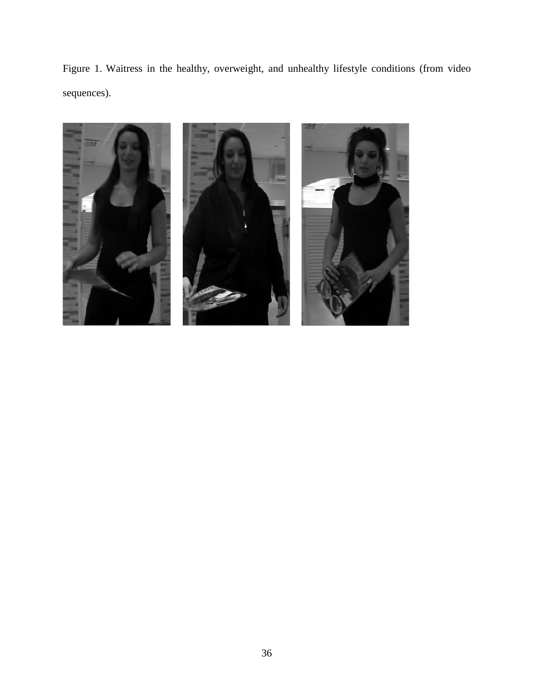Figure 1. Waitress in the healthy, overweight, and unhealthy lifestyle conditions (from video sequences).

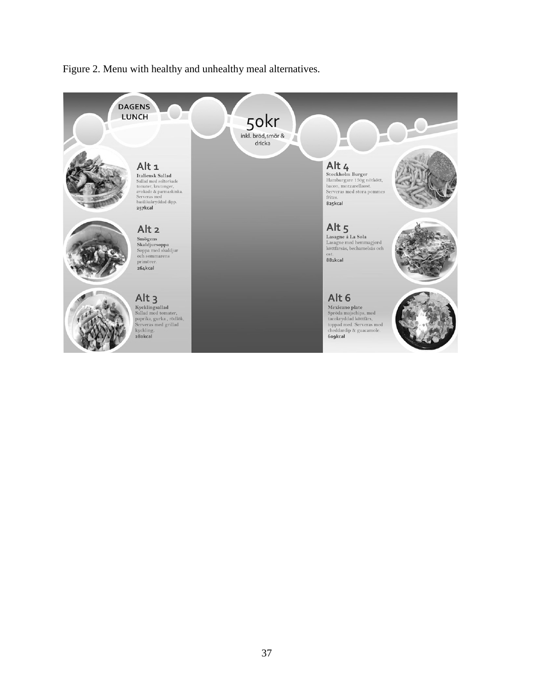

Figure 2. Menu with healthy and unhealthy meal alternatives.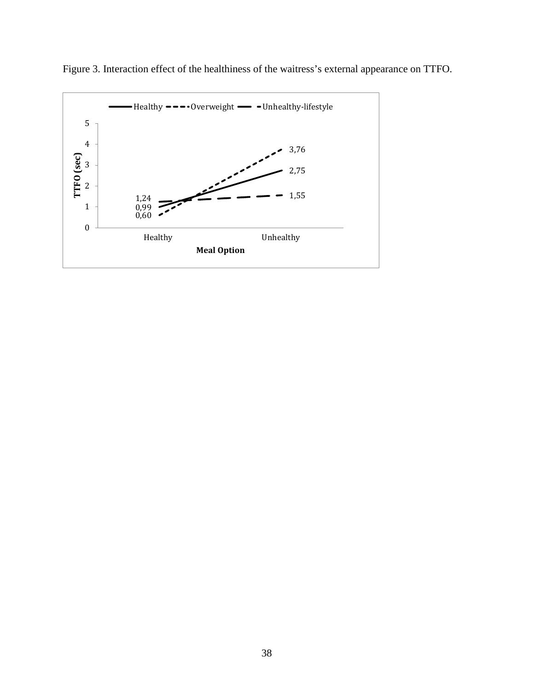

Figure 3. Interaction effect of the healthiness of the waitress's external appearance on TTFO.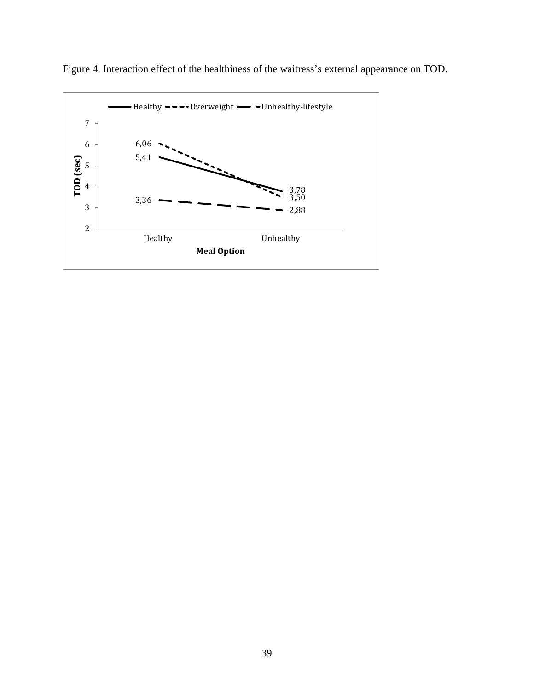

Figure 4. Interaction effect of the healthiness of the waitress's external appearance on TOD.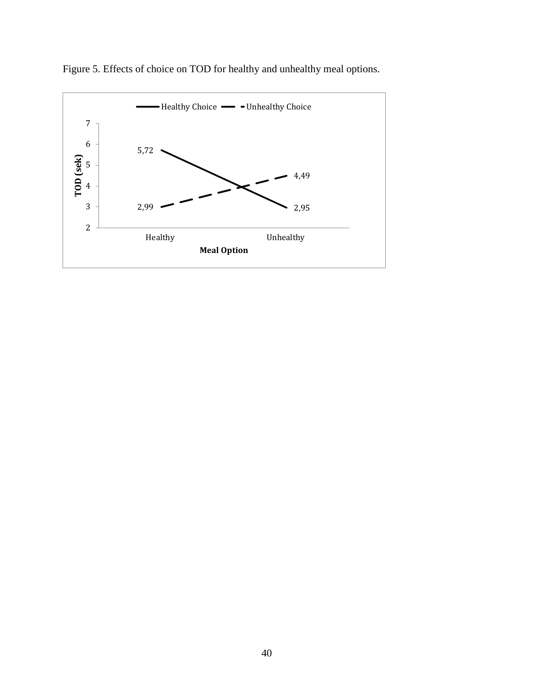

Figure 5. Effects of choice on TOD for healthy and unhealthy meal options.